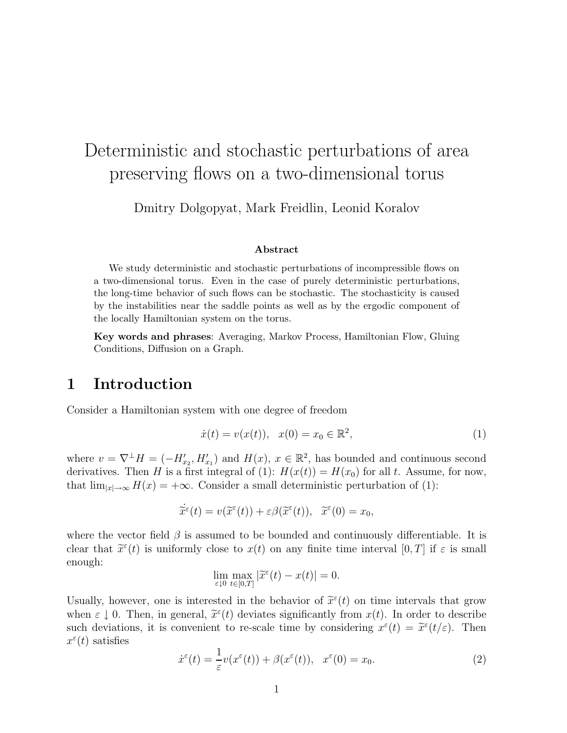# Deterministic and stochastic perturbations of area preserving flows on a two-dimensional torus

Dmitry Dolgopyat, Mark Freidlin, Leonid Koralov

#### **Abstract**

We study deterministic and stochastic perturbations of incompressible flows on a two-dimensional torus. Even in the case of purely deterministic perturbations, the long-time behavior of such flows can be stochastic. The stochasticity is caused by the instabilities near the saddle points as well as by the ergodic component of the locally Hamiltonian system on the torus.

**Key words and phrases**: Averaging, Markov Process, Hamiltonian Flow, Gluing Conditions, Diffusion on a Graph.

## **1 Introduction**

Consider a Hamiltonian system with one degree of freedom

$$
\dot{x}(t) = v(x(t)), \quad x(0) = x_0 \in \mathbb{R}^2,
$$
\n(1)

where  $v = \nabla^{\perp} H = (-H'_{x_2}, H'_{x_1})$  and  $H(x), x \in \mathbb{R}^2$ , has bounded and continuous second derivatives. Then H is a first integral of (1):  $H(x(t)) = H(x_0)$  for all t. Assume, for now, that  $\lim_{|x|\to\infty} H(x) = +\infty$ . Consider a small deterministic perturbation of (1):

$$
\dot{\tilde{x}}^{\varepsilon}(t) = v(\tilde{x}^{\varepsilon}(t)) + \varepsilon \beta(\tilde{x}^{\varepsilon}(t)), \quad \tilde{x}^{\varepsilon}(0) = x_0,
$$

where the vector field  $\beta$  is assumed to be bounded and continuously differentiable. It is clear that  $\tilde{x}^{\varepsilon}(t)$  is uniformly close to  $x(t)$  on any finite time interval  $[0, T]$  if  $\varepsilon$  is small enough:

$$
\lim_{\varepsilon \downarrow 0} \max_{t \in [0,T]} |\widetilde{x}^{\varepsilon}(t) - x(t)| = 0.
$$

Usually, however, one is interested in the behavior of  $\tilde{x}^{\varepsilon}(t)$  on time intervals that grow when  $\varepsilon \downarrow 0$ . Then, in general,  $\tilde{x}^{\varepsilon}(t)$  deviates significantly from  $x(t)$ . In order to describe such deviations, it is convenient to re-scale time by considering  $x^{\varepsilon}(t) = \tilde{x}^{\varepsilon}(t/\varepsilon)$ . Then  $x^{\varepsilon}(t)$  satisfies

$$
\dot{x}^{\varepsilon}(t) = \frac{1}{\varepsilon}v(x^{\varepsilon}(t)) + \beta(x^{\varepsilon}(t)), \quad x^{\varepsilon}(0) = x_0.
$$
\n(2)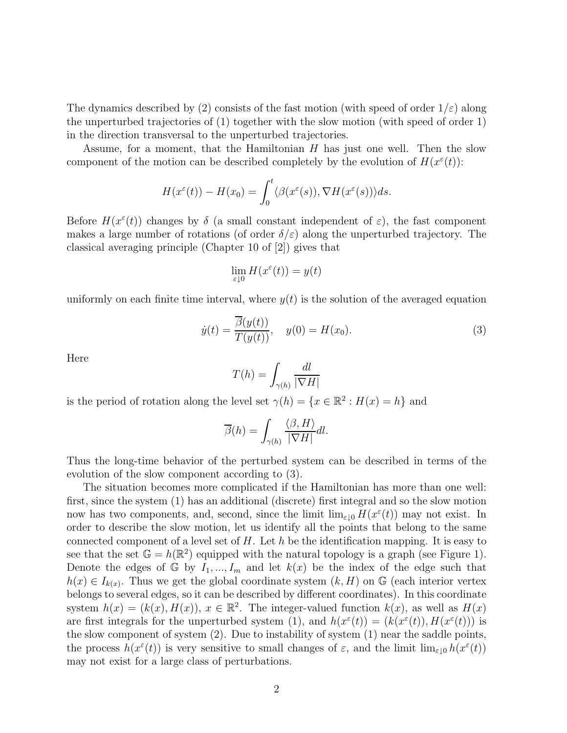The dynamics described by (2) consists of the fast motion (with speed of order  $1/\varepsilon$ ) along the unperturbed trajectories of (1) together with the slow motion (with speed of order 1) in the direction transversal to the unperturbed trajectories.

Assume, for a moment, that the Hamiltonian  $H$  has just one well. Then the slow component of the motion can be described completely by the evolution of  $H(x^{\varepsilon}(t))$ :

$$
H(x^{\varepsilon}(t)) - H(x_0) = \int_0^t \langle \beta(x^{\varepsilon}(s)), \nabla H(x^{\varepsilon}(s)) \rangle ds.
$$

Before  $H(x^{\varepsilon}(t))$  changes by  $\delta$  (a small constant independent of  $\varepsilon$ ), the fast component makes a large number of rotations (of order  $\delta/\varepsilon$ ) along the unperturbed trajectory. The classical averaging principle (Chapter 10 of [2]) gives that

$$
\lim_{\varepsilon \downarrow 0} H(x^{\varepsilon}(t)) = y(t)
$$

uniformly on each finite time interval, where  $y(t)$  is the solution of the averaged equation

$$
\dot{y}(t) = \frac{\overline{\beta}(y(t))}{T(y(t))}, \quad y(0) = H(x_0). \tag{3}
$$

Here

$$
T(h) = \int_{\gamma(h)} \frac{dl}{|\nabla H|}
$$

is the period of rotation along the level set  $\gamma(h) = \{x \in \mathbb{R}^2 : H(x) = h\}$  and

$$
\overline{\beta}(h) = \int_{\gamma(h)} \frac{\langle \beta, H \rangle}{|\nabla H|} dl.
$$

Thus the long-time behavior of the perturbed system can be described in terms of the evolution of the slow component according to (3).

The situation becomes more complicated if the Hamiltonian has more than one well: first, since the system (1) has an additional (discrete) first integral and so the slow motion now has two components, and, second, since the limit  $\lim_{\varepsilon \to 0} H(x^{\varepsilon}(t))$  may not exist. In order to describe the slow motion, let us identify all the points that belong to the same connected component of a level set of  $H$ . Let  $h$  be the identification mapping. It is easy to see that the set  $\mathbb{G} = h(\mathbb{R}^2)$  equipped with the natural topology is a graph (see Figure 1). Denote the edges of G by  $I_1, ..., I_m$  and let  $k(x)$  be the index of the edge such that  $h(x) \in I_{k(x)}$ . Thus we get the global coordinate system  $(k, H)$  on G (each interior vertex belongs to several edges, so it can be described by different coordinates). In this coordinate system  $h(x)=(k(x), H(x)), x \in \mathbb{R}^2$ . The integer-valued function  $k(x)$ , as well as  $H(x)$ are first integrals for the unperturbed system (1), and  $h(x^{\varepsilon}(t)) = (k(x^{\varepsilon}(t)), H(x^{\varepsilon}(t)))$  is the slow component of system (2). Due to instability of system (1) near the saddle points, the process  $h(x^{\varepsilon}(t))$  is very sensitive to small changes of  $\varepsilon$ , and the limit  $\lim_{\varepsilon\downarrow 0} h(x^{\varepsilon}(t))$ may not exist for a large class of perturbations.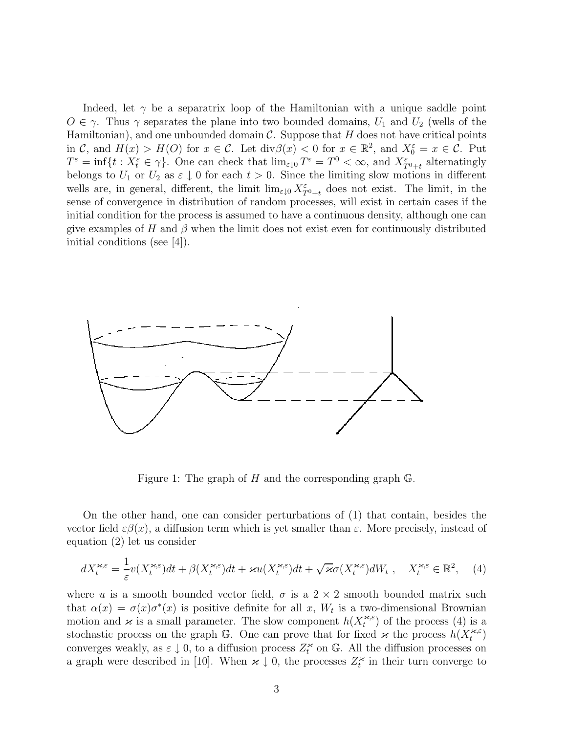Indeed, let  $\gamma$  be a separatrix loop of the Hamiltonian with a unique saddle point  $O \in \gamma$ . Thus  $\gamma$  separates the plane into two bounded domains,  $U_1$  and  $U_2$  (wells of the Hamiltonian), and one unbounded domain  $\mathcal C$ . Suppose that H does not have critical points in C, and  $H(x) > H(0)$  for  $x \in \mathcal{C}$ . Let  $\text{div}\beta(x) < 0$  for  $x \in \mathbb{R}^2$ , and  $X_0^{\varepsilon} = x \in \mathcal{C}$ . Put  $T^{\varepsilon} = \inf\{t : X_t^{\varepsilon} \in \gamma\}.$  One can check that  $\lim_{\varepsilon \downarrow 0} T^{\varepsilon} = T^0 < \infty$ , and  $X_{T^0+t}^{\varepsilon}$  alternatingly belongs to  $U_1$  or  $U_2$  as  $\varepsilon \downarrow 0$  for each  $t > 0$ . Since the limiting slow motions in different wells are, in general, different, the limit  $\lim_{\varepsilon \downarrow 0} X_{T^0+t}^{\varepsilon}$  does not exist. The limit, in the sense of convergence in distribution of random processes, will exist in certain cases if the initial condition for the process is assumed to have a continuous density, although one can give examples of H and  $\beta$  when the limit does not exist even for continuously distributed initial conditions (see [4]).



Figure 1: The graph of  $H$  and the corresponding graph  $\mathbb{G}$ .

On the other hand, one can consider perturbations of (1) that contain, besides the vector field  $\varepsilon \beta(x)$ , a diffusion term which is yet smaller than  $\varepsilon$ . More precisely, instead of equation (2) let us consider

$$
dX_t^{\varkappa,\varepsilon} = \frac{1}{\varepsilon}v(X_t^{\varkappa,\varepsilon})dt + \beta(X_t^{\varkappa,\varepsilon})dt + \varkappa u(X_t^{\varkappa,\varepsilon})dt + \sqrt{\varkappa}\sigma(X_t^{\varkappa,\varepsilon})dW_t, \quad X_t^{\varkappa,\varepsilon} \in \mathbb{R}^2, \quad (4)
$$

where u is a smooth bounded vector field,  $\sigma$  is a  $2 \times 2$  smooth bounded matrix such that  $\alpha(x) = \sigma(x)\sigma^*(x)$  is positive definite for all x,  $W_t$  is a two-dimensional Brownian motion and  $\varkappa$  is a small parameter. The slow component  $h(X_t^{\varkappa,\varepsilon})$  of the process (4) is a stochastic process on the graph G. One can prove that for fixed  $\varkappa$  the process  $h(X_t^{*,\varepsilon})$ converges weakly, as  $\varepsilon \downarrow 0$ , to a diffusion process  $Z_t^{\varkappa}$  on G. All the diffusion processes on a graph were described in [10]. When  $\varkappa \downarrow 0$ , the processes  $Z_t^{\varkappa}$  in their turn converge to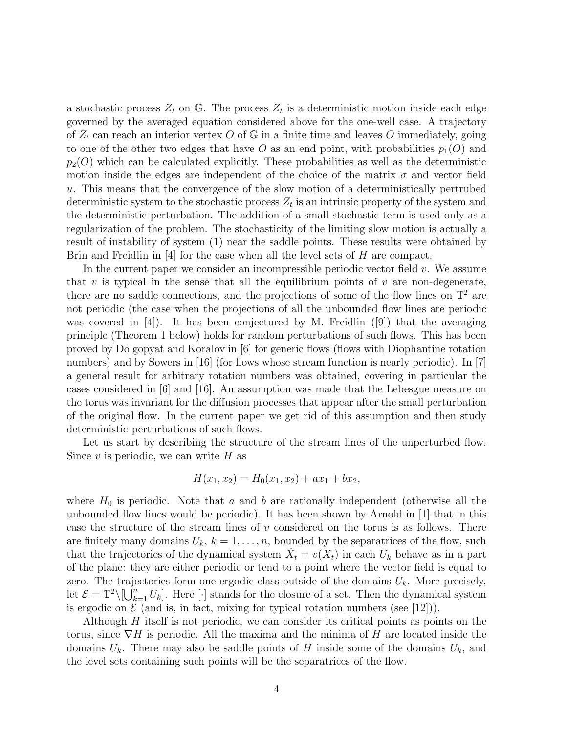a stochastic process  $Z_t$  on G. The process  $Z_t$  is a deterministic motion inside each edge governed by the averaged equation considered above for the one-well case. A trajectory of  $Z_t$  can reach an interior vertex O of G in a finite time and leaves O immediately, going to one of the other two edges that have O as an end point, with probabilities  $p_1(O)$  and  $p_2(0)$  which can be calculated explicitly. These probabilities as well as the deterministic motion inside the edges are independent of the choice of the matrix  $\sigma$  and vector field u. This means that the convergence of the slow motion of a deterministically pertrubed deterministic system to the stochastic process  $Z_t$  is an intrinsic property of the system and the deterministic perturbation. The addition of a small stochastic term is used only as a regularization of the problem. The stochasticity of the limiting slow motion is actually a result of instability of system (1) near the saddle points. These results were obtained by Brin and Freidlin in [4] for the case when all the level sets of H are compact.

In the current paper we consider an incompressible periodic vector field  $v$ . We assume that  $v$  is typical in the sense that all the equilibrium points of  $v$  are non-degenerate, there are no saddle connections, and the projections of some of the flow lines on  $\mathbb{T}^2$  are not periodic (the case when the projections of all the unbounded flow lines are periodic was covered in  $[4]$ . It has been conjectured by M. Freidlin  $[9]$  that the averaging principle (Theorem 1 below) holds for random perturbations of such flows. This has been proved by Dolgopyat and Koralov in [6] for generic flows (flows with Diophantine rotation numbers) and by Sowers in [16] (for flows whose stream function is nearly periodic). In [7] a general result for arbitrary rotation numbers was obtained, covering in particular the cases considered in [6] and [16]. An assumption was made that the Lebesgue measure on the torus was invariant for the diffusion processes that appear after the small perturbation of the original flow. In the current paper we get rid of this assumption and then study deterministic perturbations of such flows.

Let us start by describing the structure of the stream lines of the unperturbed flow. Since  $v$  is periodic, we can write  $H$  as

$$
H(x_1, x_2) = H_0(x_1, x_2) + ax_1 + bx_2,
$$

where  $H_0$  is periodic. Note that a and b are rationally independent (otherwise all the unbounded flow lines would be periodic). It has been shown by Arnold in [1] that in this case the structure of the stream lines of  $v$  considered on the torus is as follows. There are finitely many domains  $U_k$ ,  $k = 1, \ldots, n$ , bounded by the separatrices of the flow, such that the trajectories of the dynamical system  $X_t = v(X_t)$  in each  $U_k$  behave as in a part of the plane: they are either periodic or tend to a point where the vector field is equal to zero. The trajectories form one ergodic class outside of the domains  $U_k$ . More precisely, let  $\mathcal{E} = \mathbb{T}^2 \setminus \left[\bigcup_{k=1}^n U_k\right]$ . Here  $[\cdot]$  stands for the closure of a set. Then the dynamical system is ergodic on  $\mathcal E$  (and is, in fact, mixing for typical rotation numbers (see [12])).

Although  $H$  itself is not periodic, we can consider its critical points as points on the torus, since  $\nabla H$  is periodic. All the maxima and the minima of H are located inside the domains  $U_k$ . There may also be saddle points of H inside some of the domains  $U_k$ , and the level sets containing such points will be the separatrices of the flow.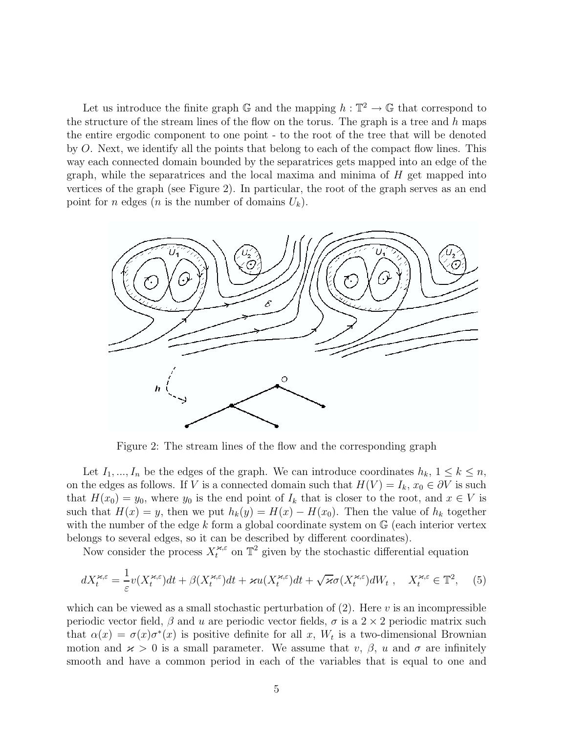Let us introduce the finite graph G and the mapping  $h : \mathbb{T}^2 \to \mathbb{G}$  that correspond to the structure of the stream lines of the flow on the torus. The graph is a tree and  $h$  maps the entire ergodic component to one point - to the root of the tree that will be denoted by O. Next, we identify all the points that belong to each of the compact flow lines. This way each connected domain bounded by the separatrices gets mapped into an edge of the graph, while the separatrices and the local maxima and minima of H get mapped into vertices of the graph (see Figure 2). In particular, the root of the graph serves as an end point for *n* edges (*n* is the number of domains  $U_k$ ).



Figure 2: The stream lines of the flow and the corresponding graph

Let  $I_1, ..., I_n$  be the edges of the graph. We can introduce coordinates  $h_k, 1 \leq k \leq n$ , on the edges as follows. If V is a connected domain such that  $H(V) = I_k$ ,  $x_0 \in \partial V$  is such that  $H(x_0) = y_0$ , where  $y_0$  is the end point of  $I_k$  that is closer to the root, and  $x \in V$  is such that  $H(x) = y$ , then we put  $h_k(y) = H(x) - H(x_0)$ . Then the value of  $h_k$  together with the number of the edge k form a global coordinate system on  $\mathbb{G}$  (each interior vertex belongs to several edges, so it can be described by different coordinates).

Now consider the process  $X_t^{\varkappa,\varepsilon}$  on  $\mathbb{T}^2$  given by the stochastic differential equation

$$
dX_t^{\varkappa,\varepsilon} = \frac{1}{\varepsilon}v(X_t^{\varkappa,\varepsilon})dt + \beta(X_t^{\varkappa,\varepsilon})dt + \varkappa u(X_t^{\varkappa,\varepsilon})dt + \sqrt{\varkappa}\sigma(X_t^{\varkappa,\varepsilon})dW_t, \quad X_t^{\varkappa,\varepsilon} \in \mathbb{T}^2, \quad (5)
$$

which can be viewed as a small stochastic perturbation of  $(2)$ . Here v is an incompressible periodic vector field,  $\beta$  and u are periodic vector fields,  $\sigma$  is a 2 × 2 periodic matrix such that  $\alpha(x) = \sigma(x)\sigma^*(x)$  is positive definite for all x,  $W_t$  is a two-dimensional Brownian motion and  $x > 0$  is a small parameter. We assume that v,  $\beta$ , u and  $\sigma$  are infinitely smooth and have a common period in each of the variables that is equal to one and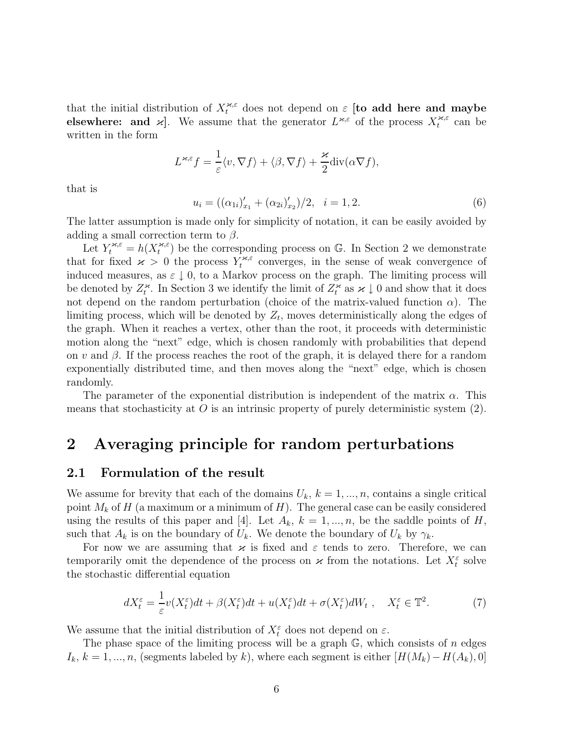that the initial distribution of  $X_t^{\varkappa,\varepsilon}$  does not depend on  $\varepsilon$  [to add here and maybe **elsewhere: and**  $\varkappa$ . We assume that the generator  $L^{\varkappa,\varepsilon}$  of the process  $X_t^{\varkappa,\varepsilon}$  can be written in the form

$$
L^{\varkappa,\varepsilon}f = \frac{1}{\varepsilon} \langle v, \nabla f \rangle + \langle \beta, \nabla f \rangle + \frac{\varkappa}{2} \text{div}(\alpha \nabla f),
$$

that is

 $u_i = ((\alpha_{1i})'_{x_1} + (\alpha_{2i})'_{x_2})/2, \quad i = 1, 2.$  (6)

The latter assumption is made only for simplicity of notation, it can be easily avoided by adding a small correction term to  $\beta$ .

Let  $Y_t^{*,\varepsilon} = h(X_t^{*,\varepsilon})$  be the corresponding process on G. In Section 2 we demonstrate that for fixed  $\chi > 0$  the process  $Y_t^{*,\varepsilon}$  converges, in the sense of weak convergence of induced measures, as  $\varepsilon \downarrow 0$ , to a Markov process on the graph. The limiting process will be denoted by  $Z_t^{\kappa}$ . In Section 3 we identify the limit of  $Z_t^{\kappa}$  as  $\kappa \downarrow 0$  and show that it does not depend on the random perturbation (choice of the matrix-valued function  $\alpha$ ). The limiting process, which will be denoted by  $Z_t$ , moves deterministically along the edges of the graph. When it reaches a vertex, other than the root, it proceeds with deterministic motion along the "next" edge, which is chosen randomly with probabilities that depend on v and  $\beta$ . If the process reaches the root of the graph, it is delayed there for a random exponentially distributed time, and then moves along the "next" edge, which is chosen randomly.

The parameter of the exponential distribution is independent of the matrix  $\alpha$ . This means that stochasticity at  $O$  is an intrinsic property of purely deterministic system  $(2)$ .

## **2 Averaging principle for random perturbations**

#### **2.1 Formulation of the result**

We assume for brevity that each of the domains  $U_k$ ,  $k = 1, ..., n$ , contains a single critical point  $M_k$  of H (a maximum or a minimum of H). The general case can be easily considered using the results of this paper and [4]. Let  $A_k$ ,  $k = 1, ..., n$ , be the saddle points of H, such that  $A_k$  is on the boundary of  $U_k$ . We denote the boundary of  $U_k$  by  $\gamma_k$ .

For now we are assuming that  $\varkappa$  is fixed and  $\varepsilon$  tends to zero. Therefore, we can temporarily omit the dependence of the process on  $\varkappa$  from the notations. Let  $X_t^{\varepsilon}$  solve the stochastic differential equation

$$
dX_t^{\varepsilon} = \frac{1}{\varepsilon} v(X_t^{\varepsilon}) dt + \beta (X_t^{\varepsilon}) dt + u(X_t^{\varepsilon}) dt + \sigma (X_t^{\varepsilon}) dW_t , \quad X_t^{\varepsilon} \in \mathbb{T}^2.
$$
 (7)

We assume that the initial distribution of  $X_t^{\varepsilon}$  does not depend on  $\varepsilon$ .

The phase space of the limiting process will be a graph  $\mathbb{G}$ , which consists of n edges  $I_k, k = 1, ..., n$ , (segments labeled by k), where each segment is either  $[H(M_k) - H(A_k), 0]$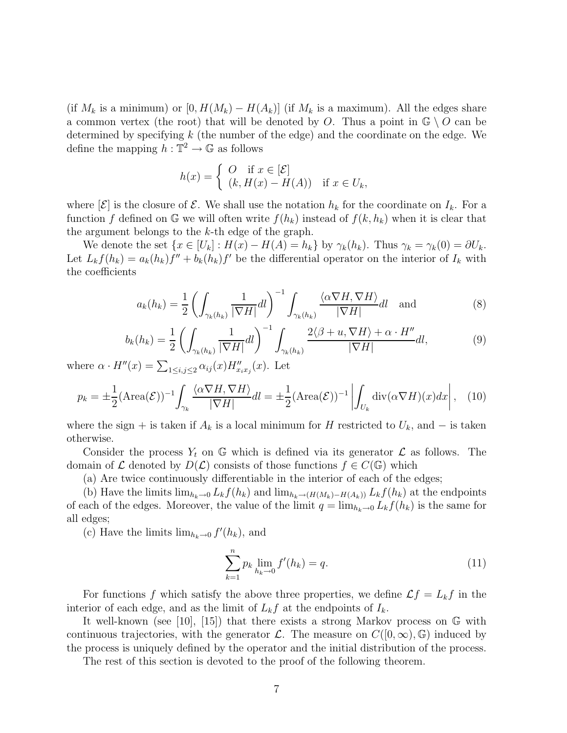(if  $M_k$  is a minimum) or  $[0, H(M_k) - H(A_k)]$  (if  $M_k$  is a maximum). All the edges share a common vertex (the root) that will be denoted by O. Thus a point in  $\mathbb{G} \setminus O$  can be determined by specifying  $k$  (the number of the edge) and the coordinate on the edge. We define the mapping  $h : \mathbb{T}^2 \to \mathbb{G}$  as follows

$$
h(x) = \begin{cases} O & \text{if } x \in [\mathcal{E}] \\ (k, H(x) - H(A)) & \text{if } x \in U_k, \end{cases}
$$

where  $|\mathcal{E}|$  is the closure of  $\mathcal{E}$ . We shall use the notation  $h_k$  for the coordinate on  $I_k$ . For a function f defined on G we will often write  $f(h_k)$  instead of  $f(k, h_k)$  when it is clear that the argument belongs to the  $k$ -th edge of the graph.

We denote the set  $\{x \in [U_k] : H(x) - H(A) = h_k\}$  by  $\gamma_k(h_k)$ . Thus  $\gamma_k = \gamma_k(0) = \partial U_k$ . Let  $L_k f(h_k) = a_k(h_k)f'' + b_k(h_k)f'$  be the differential operator on the interior of  $I_k$  with the coefficients

$$
a_k(h_k) = \frac{1}{2} \left( \int_{\gamma_k(h_k)} \frac{1}{|\nabla H|} dl \right)^{-1} \int_{\gamma_k(h_k)} \frac{\langle \alpha \nabla H, \nabla H \rangle}{|\nabla H|} dl \quad \text{and} \tag{8}
$$

$$
b_k(h_k) = \frac{1}{2} \left( \int_{\gamma_k(h_k)} \frac{1}{|\nabla H|} dl \right)^{-1} \int_{\gamma_k(h_k)} \frac{2\langle \beta + u, \nabla H \rangle + \alpha \cdot H''}{|\nabla H|} dl,
$$
(9)

where  $\alpha \cdot H''(x) = \sum_{1 \leq i,j \leq 2} \alpha_{ij}(x) H''_{x_i x_j}(x)$ . Let

$$
p_k = \pm \frac{1}{2} (\text{Area}(\mathcal{E}))^{-1} \int_{\gamma_k} \frac{\langle \alpha \nabla H, \nabla H \rangle}{|\nabla H|} dl = \pm \frac{1}{2} (\text{Area}(\mathcal{E}))^{-1} \left| \int_{U_k} \text{div}(\alpha \nabla H)(x) dx \right|, \tag{10}
$$

where the sign + is taken if  $A_k$  is a local minimum for H restricted to  $U_k$ , and  $-$  is taken otherwise.

Consider the process  $Y_t$  on G which is defined via its generator  $\mathcal L$  as follows. The domain of  $\mathcal L$  denoted by  $D(\mathcal L)$  consists of those functions  $f \in C(\mathbb G)$  which

(a) Are twice continuously differentiable in the interior of each of the edges;

(b) Have the limits  $\lim_{h_k\to 0} L_k f(h_k)$  and  $\lim_{h_k\to (H(M_k)-H(A_k))} L_k f(h_k)$  at the endpoints of each of the edges. Moreover, the value of the limit  $q = \lim_{h_k \to 0} L_k f(h_k)$  is the same for all edges;

(c) Have the limits  $\lim_{h_k \to 0} f'(h_k)$ , and

$$
\sum_{k=1}^{n} p_k \lim_{h_k \to 0} f'(h_k) = q.
$$
 (11)

For functions f which satisfy the above three properties, we define  $\mathcal{L}f = L_k f$  in the interior of each edge, and as the limit of  $L_k f$  at the endpoints of  $I_k$ .

It well-known (see [10], [15]) that there exists a strong Markov process on G with continuous trajectories, with the generator  $\mathcal{L}$ . The measure on  $C([0,\infty),\mathbb{G})$  induced by the process is uniquely defined by the operator and the initial distribution of the process.

The rest of this section is devoted to the proof of the following theorem.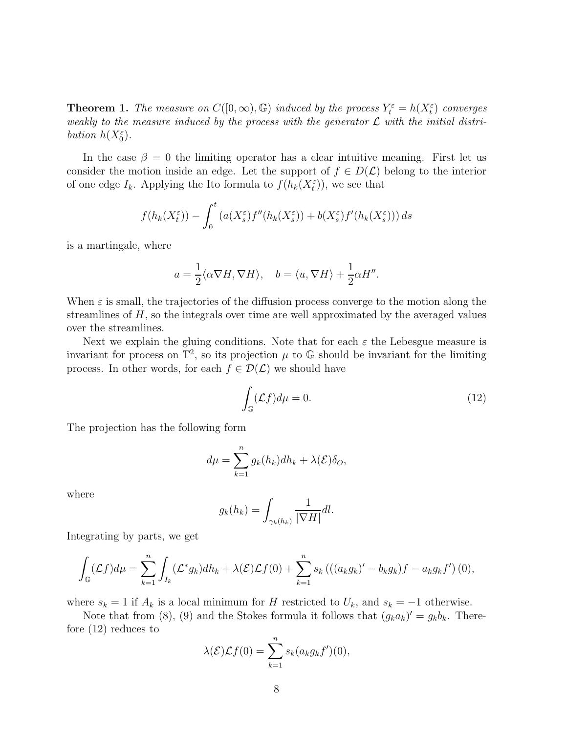**Theorem 1.** The measure on  $C([0,\infty), \mathbb{G})$  induced by the process  $Y_t^{\varepsilon} = h(X_t^{\varepsilon})$  converges weakly to the measure induced by the process with the generator  $\mathcal L$  with the initial distribution  $h(X_0^{\varepsilon})$ .

In the case  $\beta = 0$  the limiting operator has a clear intuitive meaning. First let us consider the motion inside an edge. Let the support of  $f \in D(\mathcal{L})$  belong to the interior of one edge  $I_k$ . Applying the Ito formula to  $f(h_k(X_t^{\varepsilon}))$ , we see that

$$
f(h_k(X_t^{\varepsilon})) - \int_0^t \left( a(X_s^{\varepsilon}) f''(h_k(X_s^{\varepsilon})) + b(X_s^{\varepsilon}) f'(h_k(X_s^{\varepsilon})) \right) ds
$$

is a martingale, where

$$
a = \frac{1}{2} \langle \alpha \nabla H, \nabla H \rangle
$$
,  $b = \langle u, \nabla H \rangle + \frac{1}{2} \alpha H''$ .

When  $\varepsilon$  is small, the trajectories of the diffusion process converge to the motion along the streamlines of  $H$ , so the integrals over time are well approximated by the averaged values over the streamlines.

Next we explain the gluing conditions. Note that for each  $\varepsilon$  the Lebesgue measure is invariant for process on  $\mathbb{T}^2$ , so its projection  $\mu$  to  $\mathbb{G}$  should be invariant for the limiting process. In other words, for each  $f \in \mathcal{D}(\mathcal{L})$  we should have

$$
\int_{\mathbb{G}} (\mathcal{L}f) d\mu = 0. \tag{12}
$$

The projection has the following form

$$
d\mu = \sum_{k=1}^{n} g_k(h_k) dh_k + \lambda(\mathcal{E}) \delta_O,
$$

where

$$
g_k(h_k) = \int_{\gamma_k(h_k)} \frac{1}{|\nabla H|} dl.
$$

Integrating by parts, we get

$$
\int_{\mathbb{G}} (\mathcal{L}f) d\mu = \sum_{k=1}^{n} \int_{I_k} (\mathcal{L}^* g_k) dh_k + \lambda(\mathcal{E}) \mathcal{L}f(0) + \sum_{k=1}^{n} s_k \left( ((a_k g_k)' - b_k g_k) f - a_k g_k f' \right)(0),
$$

where  $s_k = 1$  if  $A_k$  is a local minimum for H restricted to  $U_k$ , and  $s_k = -1$  otherwise.

Note that from (8), (9) and the Stokes formula it follows that  $(g_k a_k)' = g_k b_k$ . Therefore (12) reduces to

$$
\lambda(\mathcal{E})\mathcal{L}f(0) = \sum_{k=1}^{n} s_k(a_k g_k f')(0),
$$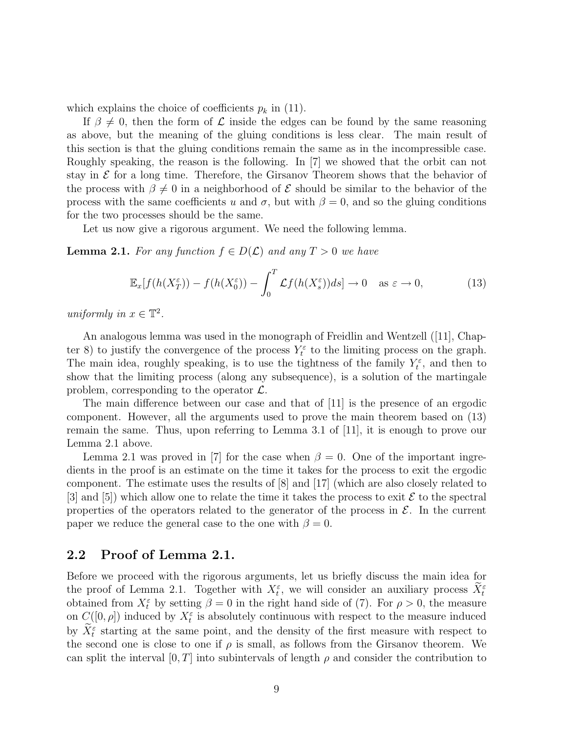which explains the choice of coefficients  $p_k$  in (11).

If  $\beta \neq 0$ , then the form of  $\mathcal L$  inside the edges can be found by the same reasoning as above, but the meaning of the gluing conditions is less clear. The main result of this section is that the gluing conditions remain the same as in the incompressible case. Roughly speaking, the reason is the following. In [7] we showed that the orbit can not stay in  $\mathcal E$  for a long time. Therefore, the Girsanov Theorem shows that the behavior of the process with  $\beta \neq 0$  in a neighborhood of  $\mathcal E$  should be similar to the behavior of the process with the same coefficients u and  $\sigma$ , but with  $\beta = 0$ , and so the gluing conditions for the two processes should be the same.

Let us now give a rigorous argument. We need the following lemma.

**Lemma 2.1.** For any function  $f \in D(\mathcal{L})$  and any  $T > 0$  we have

$$
\mathbb{E}_x[f(h(X_T^{\varepsilon})) - f(h(X_0^{\varepsilon})) - \int_0^T \mathcal{L}f(h(X_s^{\varepsilon}))ds] \to 0 \quad \text{as } \varepsilon \to 0,
$$
 (13)

uniformly in  $x \in \mathbb{T}^2$ .

An analogous lemma was used in the monograph of Freidlin and Wentzell ([11], Chapter 8) to justify the convergence of the process  $Y_t^{\varepsilon}$  to the limiting process on the graph. The main idea, roughly speaking, is to use the tightness of the family  $Y_t^{\varepsilon}$ , and then to show that the limiting process (along any subsequence), is a solution of the martingale problem, corresponding to the operator  $\mathcal{L}$ .

The main difference between our case and that of [11] is the presence of an ergodic component. However, all the arguments used to prove the main theorem based on (13) remain the same. Thus, upon referring to Lemma 3.1 of [11], it is enough to prove our Lemma 2.1 above.

Lemma 2.1 was proved in [7] for the case when  $\beta = 0$ . One of the important ingredients in the proof is an estimate on the time it takes for the process to exit the ergodic component. The estimate uses the results of [8] and [17] (which are also closely related to [3] and [5]) which allow one to relate the time it takes the process to exit  $\mathcal E$  to the spectral properties of the operators related to the generator of the process in  $\mathcal{E}$ . In the current paper we reduce the general case to the one with  $\beta = 0$ .

### **2.2 Proof of Lemma 2.1.**

Before we proceed with the rigorous arguments, let us briefly discuss the main idea for the proof of Lemma 2.1. Together with  $X_t^{\varepsilon}$ , we will consider an auxiliary process  $X_t^{\varepsilon}$ obtained from  $X_t^{\varepsilon}$  by setting  $\beta = 0$  in the right hand side of (7). For  $\rho > 0$ , the measure on  $C([0, \rho])$  induced by  $X_t^{\varepsilon}$  is absolutely continuous with respect to the measure induced by  $\bar{X}_t^{\varepsilon}$  starting at the same point, and the density of the first measure with respect to the second one is close to one if  $\rho$  is small, as follows from the Girsanov theorem. We can split the interval  $[0, T]$  into subintervals of length  $\rho$  and consider the contribution to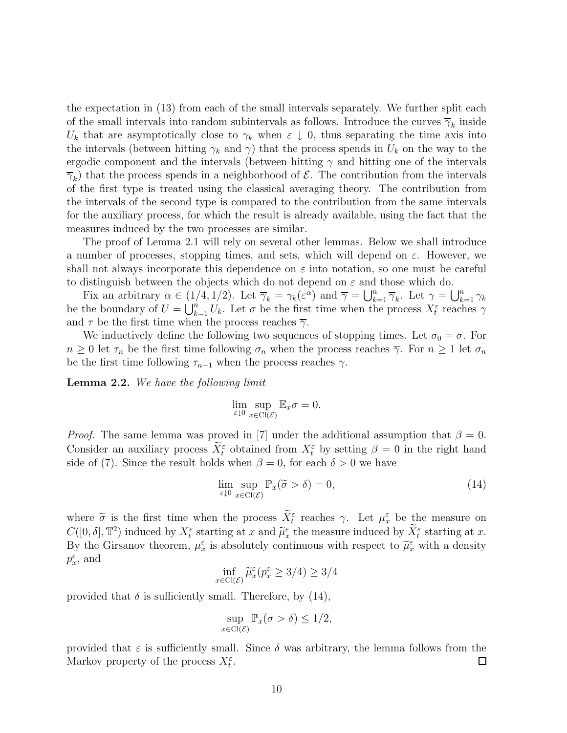the expectation in (13) from each of the small intervals separately. We further split each of the small intervals into random subintervals as follows. Introduce the curves  $\overline{\gamma}_k$  inside  $U_k$  that are asymptotically close to  $\gamma_k$  when  $\varepsilon \downarrow 0$ , thus separating the time axis into the intervals (between hitting  $\gamma_k$  and  $\gamma$ ) that the process spends in  $U_k$  on the way to the ergodic component and the intervals (between hitting  $\gamma$  and hitting one of the intervals  $\overline{\gamma}_k$ ) that the process spends in a neighborhood of  $\mathcal{E}$ . The contribution from the intervals of the first type is treated using the classical averaging theory. The contribution from the intervals of the second type is compared to the contribution from the same intervals for the auxiliary process, for which the result is already available, using the fact that the measures induced by the two processes are similar.

The proof of Lemma 2.1 will rely on several other lemmas. Below we shall introduce a number of processes, stopping times, and sets, which will depend on  $\varepsilon$ . However, we shall not always incorporate this dependence on  $\varepsilon$  into notation, so one must be careful to distinguish between the objects which do not depend on  $\varepsilon$  and those which do.

Fix an arbitrary  $\alpha \in (1/4, 1/2)$ . Let  $\overline{\gamma}_k = \gamma_k(\varepsilon^{\alpha})$  and  $\overline{\gamma} = \bigcup_{k=1}^n \overline{\gamma}_k$ . Let  $\gamma = \bigcup_{k=1}^n \gamma_k$ be the boundary of  $U = \bigcup_{k=1}^{n} U_k$ . Let  $\sigma$  be the first time when the process  $X_t^{\varepsilon}$  reaches  $\gamma$ and  $\tau$  be the first time when the process reaches  $\overline{\gamma}$ .

We inductively define the following two sequences of stopping times. Let  $\sigma_0 = \sigma$ . For  $n \geq 0$  let  $\tau_n$  be the first time following  $\sigma_n$  when the process reaches  $\overline{\gamma}$ . For  $n \geq 1$  let  $\sigma_n$ be the first time following  $\tau_{n-1}$  when the process reaches  $\gamma$ .

**Lemma 2.2.** We have the following limit

$$
\lim_{\varepsilon \downarrow 0} \sup_{x \in \text{Cl}(\mathcal{E})} \mathbb{E}_x \sigma = 0.
$$

*Proof.* The same lemma was proved in [7] under the additional assumption that  $\beta = 0$ . Consider an auxiliary process  $\tilde{X}_t^{\varepsilon}$  obtained from  $X_t^{\varepsilon}$  by setting  $\beta = 0$  in the right hand side of (7). Since the result holds when  $\beta = 0$ , for each  $\delta > 0$  we have

$$
\lim_{\varepsilon \downarrow 0} \sup_{x \in \text{Cl}(\mathcal{E})} \mathbb{P}_x(\tilde{\sigma} > \delta) = 0,\tag{14}
$$

where  $\tilde{\sigma}$  is the first time when the process  $\tilde{X}_{t}^{\varepsilon}$  reaches  $\gamma$ . Let  $\mu_{x}^{\varepsilon}$  be the measure on  $C([0,\delta], \mathbb{T}^2)$  induced by  $X_t^{\varepsilon}$  starting at x and  $\widetilde{\mu}_x^{\varepsilon}$  the measure induced by  $\widetilde{X}_t^{\varepsilon}$  starting at x. By the Girsanov theorem,  $\mu_x^{\varepsilon}$  is absolutely continuous with respect to  $\tilde{\mu}_x^{\varepsilon}$  with a density  $p_x^{\varepsilon}$ , and

$$
\inf_{x \in \text{Cl}(\mathcal{E})} \tilde{\mu}_x^{\varepsilon} (p_x^{\varepsilon} \ge 3/4) \ge 3/4
$$

provided that  $\delta$  is sufficiently small. Therefore, by (14),

$$
\sup_{x \in \text{Cl}(\mathcal{E})} \mathbb{P}_x(\sigma > \delta) \le 1/2,
$$

provided that  $\varepsilon$  is sufficiently small. Since  $\delta$  was arbitrary, the lemma follows from the Markov property of the process  $X_t^{\varepsilon}$ . □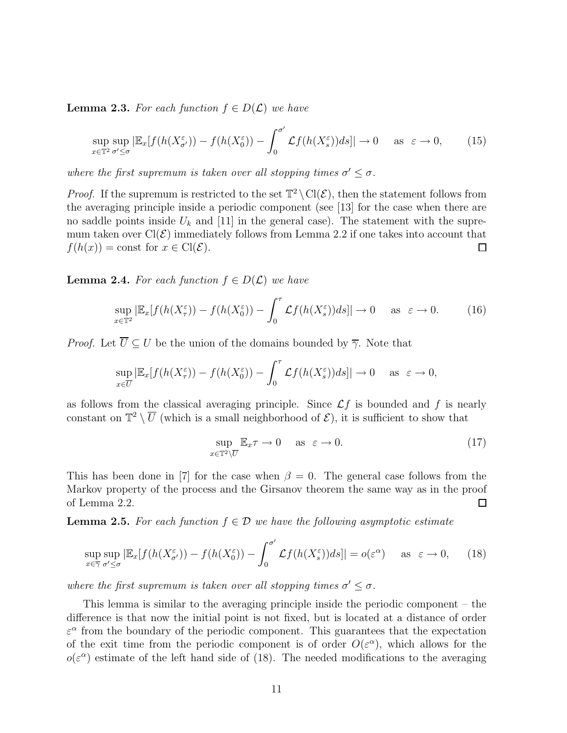**Lemma 2.3.** For each function  $f \in D(\mathcal{L})$  we have

$$
\sup_{x \in \mathbb{T}^2} \sup_{\sigma' \leq \sigma} |\mathbb{E}_x[f(h(X_{\sigma'}^{\varepsilon})) - f(h(X_0^{\varepsilon})) - \int_0^{\sigma'} \mathcal{L}f(h(X_s^{\varepsilon}))ds]| \to 0 \quad \text{as } \varepsilon \to 0,
$$
 (15)

where the first supremum is taken over all stopping times  $\sigma' \leq \sigma$ .

*Proof.* If the supremum is restricted to the set  $\mathbb{T}^2 \setminus \text{Cl}(\mathcal{E})$ , then the statement follows from the averaging principle inside a periodic component (see [13] for the case when there are no saddle points inside  $U_k$  and [11] in the general case). The statement with the supremum taken over  $Cl(\mathcal{E})$  immediately follows from Lemma 2.2 if one takes into account that  $f(h(x)) = \text{const}$  for  $x \in \text{Cl}(\mathcal{E})$ .  $\Box$ 

**Lemma 2.4.** For each function  $f \in D(\mathcal{L})$  we have

$$
\sup_{x \in \mathbb{T}^2} |\mathbb{E}_x[f(h(X^\varepsilon_\tau)) - f(h(X^\varepsilon_0)) - \int_0^\tau \mathcal{L}f(h(X^\varepsilon_s))ds]| \to 0 \quad \text{as } \varepsilon \to 0. \tag{16}
$$

*Proof.* Let  $\overline{U} \subset U$  be the union of the domains bounded by  $\overline{\gamma}$ . Note that

$$
\sup_{x \in \overline{U}} |\mathbb{E}_x[f(h(X^\varepsilon_\tau)) - f(h(X^\varepsilon_0)) - \int_0^\tau \mathcal{L}f(h(X^\varepsilon_s))ds]| \to 0 \quad \text{as } \varepsilon \to 0,
$$

as follows from the classical averaging principle. Since  $\mathcal{L}f$  is bounded and f is nearly constant on  $\mathbb{T}^2 \setminus \overline{U}$  (which is a small neighborhood of  $\mathcal{E}$ ), it is sufficient to show that

$$
\sup_{x \in \mathbb{T}^2 \setminus \overline{U}} \mathbb{E}_x \tau \to 0 \quad \text{as } \varepsilon \to 0. \tag{17}
$$

This has been done in [7] for the case when  $\beta = 0$ . The general case follows from the Markov property of the process and the Girsanov theorem the same way as in the proof of Lemma 2.2. 口

**Lemma 2.5.** For each function  $f \in \mathcal{D}$  we have the following asymptotic estimate

$$
\sup_{x \in \overline{\gamma}} \sup_{\sigma' \leq \sigma} |\mathbb{E}_x[f(h(X_{\sigma'}^{\varepsilon})) - f(h(X_0^{\varepsilon})) - \int_0^{\sigma'} \mathcal{L}f(h(X_s^{\varepsilon}))ds]| = o(\varepsilon^{\alpha}) \quad \text{as } \varepsilon \to 0,
$$
 (18)

where the first supremum is taken over all stopping times  $\sigma' \leq \sigma$ .

This lemma is similar to the averaging principle inside the periodic component – the difference is that now the initial point is not fixed, but is located at a distance of order  $\varepsilon^{\alpha}$  from the boundary of the periodic component. This guarantees that the expectation of the exit time from the periodic component is of order  $O(\varepsilon^{\alpha})$ , which allows for the  $o(\varepsilon^{\alpha})$  estimate of the left hand side of (18). The needed modifications to the averaging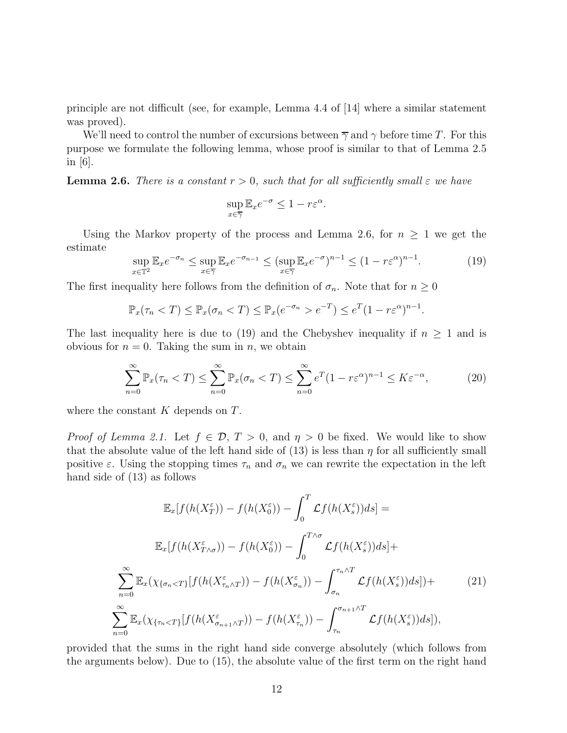principle are not difficult (see, for example, Lemma 4.4 of [14] where a similar statement was proved).

We'll need to control the number of excursions between  $\overline{\gamma}$  and  $\gamma$  before time T. For this purpose we formulate the following lemma, whose proof is similar to that of Lemma 2.5 in [6].

**Lemma 2.6.** There is a constant  $r > 0$ , such that for all sufficiently small  $\varepsilon$  we have

$$
\sup_{x \in \overline{\gamma}} \mathbb{E}_x e^{-\sigma} \le 1 - r \varepsilon^{\alpha}.
$$

Using the Markov property of the process and Lemma 2.6, for  $n \geq 1$  we get the estimate

$$
\sup_{x \in \mathbb{T}^2} \mathbb{E}_x e^{-\sigma_n} \le \sup_{x \in \overline{\gamma}} \mathbb{E}_x e^{-\sigma_{n-1}} \le (\sup_{x \in \overline{\gamma}} \mathbb{E}_x e^{-\sigma})^{n-1} \le (1 - r\varepsilon^\alpha)^{n-1}.
$$
\n(19)

The first inequality here follows from the definition of  $\sigma_n$ . Note that for  $n \geq 0$ 

$$
\mathbb{P}_x(\tau_n < T) \le \mathbb{P}_x(\sigma_n < T) \le \mathbb{P}_x(e^{-\sigma_n} > e^{-T}) \le e^T(1 - r\varepsilon^{\alpha})^{n-1}.
$$

The last inequality here is due to (19) and the Chebyshev inequality if  $n \geq 1$  and is obvious for  $n = 0$ . Taking the sum in n, we obtain

$$
\sum_{n=0}^{\infty} \mathbb{P}_x(\tau_n < T) \le \sum_{n=0}^{\infty} \mathbb{P}_x(\sigma_n < T) \le \sum_{n=0}^{\infty} e^T (1 - r \varepsilon^{\alpha})^{n-1} \le K \varepsilon^{-\alpha},\tag{20}
$$

where the constant  $K$  depends on  $T$ .

*Proof of Lemma 2.1.* Let  $f \in \mathcal{D}$ ,  $T > 0$ , and  $\eta > 0$  be fixed. We would like to show that the absolute value of the left hand side of  $(13)$  is less than  $\eta$  for all sufficiently small positive  $\varepsilon$ . Using the stopping times  $\tau_n$  and  $\sigma_n$  we can rewrite the expectation in the left hand side of (13) as follows

$$
\mathbb{E}_{x}[f(h(X_{T}^{\varepsilon})) - f(h(X_{0}^{\varepsilon})) - \int_{0}^{T} \mathcal{L}f(h(X_{s}^{\varepsilon}))ds] =
$$

$$
\mathbb{E}_{x}[f(h(X_{T\wedge\sigma}^{\varepsilon})) - f(h(X_{0}^{\varepsilon})) - \int_{0}^{T\wedge\sigma} \mathcal{L}f(h(X_{s}^{\varepsilon}))ds] +
$$

$$
\sum_{n=0}^{\infty} \mathbb{E}_{x}(\chi_{\{\sigma_{n} < T\}}[f(h(X_{\tau_{n}\wedge T}^{\varepsilon})) - f(h(X_{\sigma_{n}}^{\varepsilon})) - \int_{\sigma_{n}}^{\tau_{n}\wedge T} \mathcal{L}f(h(X_{s}^{\varepsilon}))ds] +
$$

$$
\sum_{n=0}^{\infty} \mathbb{E}_{x}(\chi_{\{\tau_{n} < T\}}[f(h(X_{\sigma_{n+1}\wedge T}^{\varepsilon})) - f(h(X_{\tau_{n}}^{\varepsilon})) - \int_{\tau_{n}}^{\sigma_{n+1}\wedge T} \mathcal{L}f(h(X_{s}^{\varepsilon}))ds]),
$$
\n(21)

provided that the sums in the right hand side converge absolutely (which follows from the arguments below). Due to (15), the absolute value of the first term on the right hand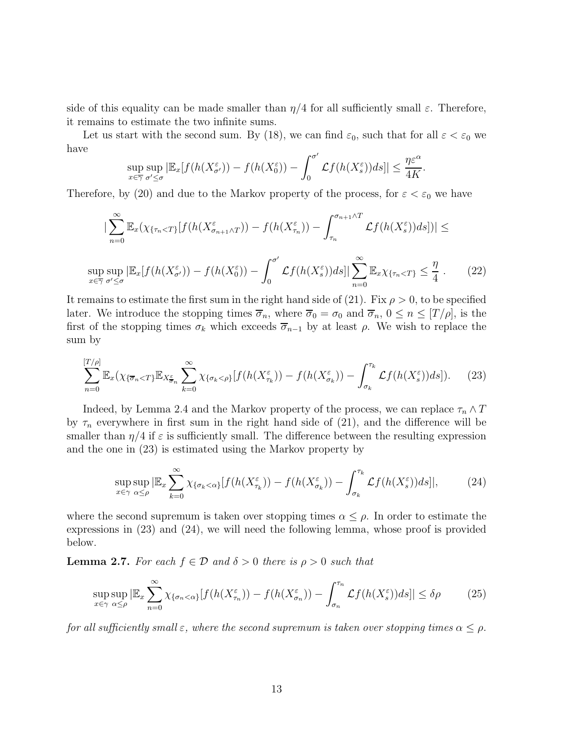side of this equality can be made smaller than  $\eta/4$  for all sufficiently small  $\varepsilon$ . Therefore, it remains to estimate the two infinite sums.

Let us start with the second sum. By (18), we can find  $\varepsilon_0$ , such that for all  $\varepsilon < \varepsilon_0$  we have

$$
\sup_{x \in \overline{\gamma}} \sup_{\sigma' \leq \sigma} |\mathbb{E}_x[f(h(X_{\sigma'}^{\varepsilon})) - f(h(X_0^{\varepsilon})) - \int_0^{\sigma'} \mathcal{L}f(h(X_s^{\varepsilon}))ds]| \leq \frac{\eta \varepsilon^{\alpha}}{4K}.
$$

Therefore, by (20) and due to the Markov property of the process, for  $\varepsilon < \varepsilon_0$  we have

$$
\left| \sum_{n=0}^{\infty} \mathbb{E}_x(\chi_{\{\tau_n < T\}}[f(h(X_{\sigma_{n+1}\wedge T}^{\varepsilon})) - f(h(X_{\tau_n}^{\varepsilon})) - \int_{\tau_n}^{\sigma_{n+1}\wedge T} \mathcal{L}f(h(X_s^{\varepsilon}))ds] \right| \le
$$
\n
$$
\sup \sup \left| \mathbb{E}_x[f(h(X_{\sigma'}^{\varepsilon})) - f(h(X_0^{\varepsilon})) - \int_{\sigma'}^{\sigma'} \mathcal{L}f(h(X_s^{\varepsilon}))ds \right| \sum_{n=0}^{\infty} \mathbb{E}_x \chi_{\{\tau_n < T\}} \leq \frac{\eta}{4} \,. \tag{22}
$$

$$
\int_0^{\infty} \frac{1}{\sqrt{2\pi}} \int_0^{\infty} \frac{1}{\sqrt{2\pi}} \int_0^{\infty} \frac{1}{\sqrt{2\pi}} \int_0^{\infty} \frac{1}{\sqrt{2\pi}} \int_0^{\infty} \frac{1}{\sqrt{2\pi}} \int_0^{\infty} \frac{1}{\sqrt{2\pi}} \int_0^{\infty} \frac{1}{\sqrt{2\pi}} \int_0^{\infty} \frac{1}{\sqrt{2\pi}} \int_0^{\infty} \frac{1}{\sqrt{2\pi}} \int_0^{\infty} \frac{1}{\sqrt{2\pi}} \int_0^{\infty} \frac{1}{\sqrt{2\pi}} \int_0^{\infty} \frac{1}{\sqrt{2\pi}} \int_0^{\infty} \frac{1}{\sqrt{2\pi}} \int_0^{\infty} \frac{1}{\sqrt{2\pi}} \int_0^{\infty} \frac{1}{\sqrt{2\pi}} \int_0^{\infty} \frac{1}{\sqrt{2\pi}} \int_0^{\infty} \frac{1}{\sqrt{2\pi}} \int_0^{\infty} \frac{1}{\sqrt{2\pi}} \int_0^{\infty} \frac{1}{\sqrt{2\pi}} \int_0^{\infty} \frac{1}{\sqrt{2\pi}} \int_0^{\infty} \frac{1}{\sqrt{2\pi}} \int_0^{\infty} \frac{1}{\sqrt{2\pi}} \int_0^{\infty} \frac{1}{\sqrt{2\pi}} \int_0^{\infty} \frac{1}{\sqrt{2\pi}} \int_0^{\infty} \frac{1}{\sqrt{2\pi}} \int_0^{\infty} \frac{1}{\sqrt{2\pi}} \int_0^{\infty} \frac{1}{\sqrt{2\pi}} \int_0^{\infty} \frac{1}{\sqrt{2\pi}} \int_0^{\infty} \frac{1}{\sqrt{2\pi}} \int_0^{\infty} \frac{1}{\sqrt{2\pi}} \int_0^{\infty} \frac{1}{\sqrt{2\pi}} \int_0^{\infty} \frac{1}{\sqrt{2\pi}} \int_0^{\infty} \frac{1}{\sqrt{2\pi}} \int_0^{\infty} \frac{1}{\sqrt{2\pi}} \int_0^{\infty} \frac{1}{\sqrt{2\pi}} \int_0^{\infty} \frac{1}{\sqrt{2\pi}} \int_0
$$

later. We introduce the stopping times  $\overline{\sigma}_n$ , where  $\overline{\sigma}_0 = \sigma_0$  and  $\overline{\sigma}_n$ ,  $0 \leq n \leq [T/\rho]$ , is the first of the stopping times  $\sigma_k$  which exceeds  $\overline{\sigma}_{n-1}$  by at least  $\rho$ . We wish to replace the sum by

$$
\sum_{n=0}^{[T/\rho]} \mathbb{E}_x(\chi_{\{\overline{\sigma}_n < T\}} \mathbb{E}_{X_{\overline{\sigma}_n}^{\varepsilon}} \sum_{k=0}^{\infty} \chi_{\{\sigma_k < \rho\}}[f(h(X_{\tau_k}^{\varepsilon})) - f(h(X_{\sigma_k}^{\varepsilon})) - \int_{\sigma_k}^{\tau_k} \mathcal{L}f(h(X_s^{\varepsilon}))ds]). \tag{23}
$$

Indeed, by Lemma 2.4 and the Markov property of the process, we can replace  $\tau_n \wedge T$ by  $\tau_n$  everywhere in first sum in the right hand side of (21), and the difference will be smaller than  $\eta/4$  if  $\varepsilon$  is sufficiently small. The difference between the resulting expression and the one in (23) is estimated using the Markov property by

$$
\sup_{x \in \gamma} \sup_{\alpha \le \rho} |\mathbb{E}_x \sum_{k=0}^{\infty} \chi_{\{\sigma_k < \alpha\}}[f(h(X_{\tau_k}^{\varepsilon})) - f(h(X_{\sigma_k}^{\varepsilon})) - \int_{\sigma_k}^{\tau_k} \mathcal{L}f(h(X_s^{\varepsilon}))ds]|, \tag{24}
$$

where the second supremum is taken over stopping times  $\alpha \leq \rho$ . In order to estimate the expressions in (23) and (24), we will need the following lemma, whose proof is provided below.

**Lemma 2.7.** For each  $f \in \mathcal{D}$  and  $\delta > 0$  there is  $\rho > 0$  such that

$$
\sup_{x \in \gamma} \sup_{\alpha \le \rho} |\mathbb{E}_x \sum_{n=0}^{\infty} \chi_{\{\sigma_n < \alpha\}}[f(h(X_{\tau_n}^{\varepsilon})) - f(h(X_{\sigma_n}^{\varepsilon})) - \int_{\sigma_n}^{\tau_n} \mathcal{L}f(h(X_s^{\varepsilon})) ds]| \le \delta \rho \tag{25}
$$

for all sufficiently small  $\varepsilon$ , where the second supremum is taken over stopping times  $\alpha \leq \rho$ .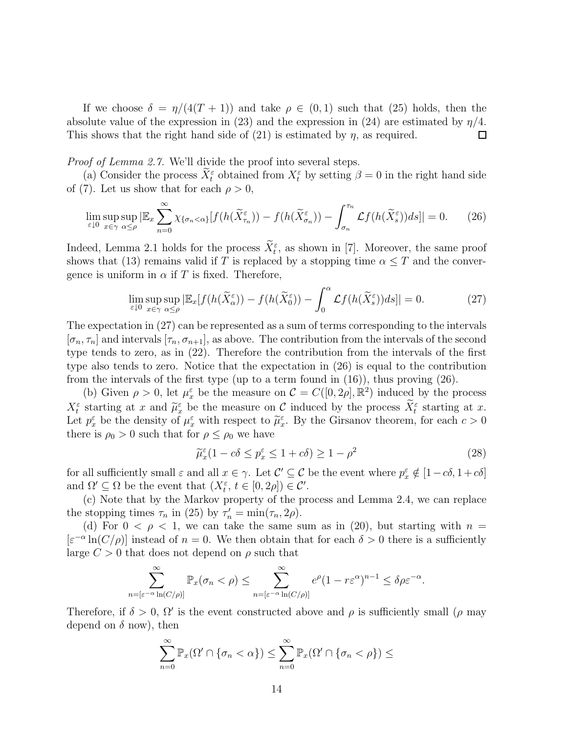If we choose  $\delta = \eta/(4(T+1))$  and take  $\rho \in (0,1)$  such that (25) holds, then the absolute value of the expression in (23) and the expression in (24) are estimated by  $\eta/4$ . This shows that the right hand side of  $(21)$  is estimated by  $\eta$ , as required. □

Proof of Lemma 2.7. We'll divide the proof into several steps.

(a) Consider the process  $\hat{X}_t^{\varepsilon}$  obtained from  $X_t^{\varepsilon}$  by setting  $\beta = 0$  in the right hand side of (7). Let us show that for each  $\rho > 0$ ,

$$
\lim_{\varepsilon \downarrow 0} \sup_{x \in \gamma} \sup_{\alpha \le \rho} |\mathbb{E}_x \sum_{n=0}^{\infty} \chi_{\{\sigma_n < \alpha\}}[f(h(\widetilde{X}_{\tau_n}^{\varepsilon})) - f(h(\widetilde{X}_{\sigma_n}^{\varepsilon})) - \int_{\sigma_n}^{\tau_n} \mathcal{L}f(h(\widetilde{X}_{s}^{\varepsilon})) ds]| = 0. \tag{26}
$$

Indeed, Lemma 2.1 holds for the process  $X_t^{\varepsilon}$ , as shown in [7]. Moreover, the same proof shows that (13) remains valid if T is replaced by a stopping time  $\alpha \leq T$  and the convergence is uniform in  $\alpha$  if T is fixed. Therefore,

$$
\lim_{\varepsilon \downarrow 0} \sup_{x \in \gamma} \sup_{\alpha \le \rho} |\mathbb{E}_x[f(h(\widetilde{X}_{\alpha}^{\varepsilon})) - f(h(\widetilde{X}_{0}^{\varepsilon})) - \int_0^{\alpha} \mathcal{L}f(h(\widetilde{X}_{s}^{\varepsilon}))ds]| = 0.
$$
 (27)

The expectation in (27) can be represented as a sum of terms corresponding to the intervals  $[\sigma_n, \tau_n]$  and intervals  $[\tau_n, \sigma_{n+1}]$ , as above. The contribution from the intervals of the second type tends to zero, as in (22). Therefore the contribution from the intervals of the first type also tends to zero. Notice that the expectation in (26) is equal to the contribution from the intervals of the first type (up to a term found in (16)), thus proving (26).

(b) Given  $\rho > 0$ , let  $\mu_x^{\varepsilon}$  be the measure on  $\mathcal{C} = C([0, 2\rho], \mathbb{R}^2)$  induced by the process  $X_t^{\varepsilon}$  starting at x and  $\widetilde{\mu}_{x}^{\varepsilon}$  be the measure on C induced by the process  $X_t^{\varepsilon}$  starting at x. Let  $p_x^{\varepsilon}$  be the density of  $\mu_x^{\varepsilon}$  with respect to  $\widetilde{\mu}_x^{\varepsilon}$ . By the Girsanov theorem, for each  $c > 0$ there is  $\rho_0 > 0$  such that for  $\rho \leq \rho_0$  we have

$$
\widetilde{\mu}_x^{\varepsilon} (1 - c\delta \le p_x^{\varepsilon} \le 1 + c\delta) \ge 1 - \rho^2 \tag{28}
$$

for all sufficiently small  $\varepsilon$  and all  $x \in \gamma$ . Let  $\mathcal{C}' \subseteq \mathcal{C}$  be the event where  $p_x^{\varepsilon} \notin [1 - c\delta, 1 + c\delta]$ and  $\Omega' \subseteq \Omega$  be the event that  $(X_t^{\varepsilon}, t \in [0, 2\rho]) \in \mathcal{C}'$ .

(c) Note that by the Markov property of the process and Lemma 2.4, we can replace the stopping times  $\tau_n$  in (25) by  $\tau'_n = \min(\tau_n, 2\rho)$ .

(d) For  $0 < \rho < 1$ , we can take the same sum as in (20), but starting with  $n =$  $[\varepsilon^{-\alpha}\ln(C/\rho)]$  instead of  $n=0$ . We then obtain that for each  $\delta>0$  there is a sufficiently large  $C > 0$  that does not depend on  $\rho$  such that

$$
\sum_{n=[\varepsilon^{-\alpha}\ln(C/\rho)]}^{\infty} \mathbb{P}_x(\sigma_n < \rho) \le \sum_{n=[\varepsilon^{-\alpha}\ln(C/\rho)]}^{\infty} e^{\rho} (1-r\varepsilon^{\alpha})^{n-1} \le \delta \rho \varepsilon^{-\alpha}.
$$

Therefore, if  $\delta > 0$ ,  $\Omega'$  is the event constructed above and  $\rho$  is sufficiently small ( $\rho$  may depend on  $\delta$  now), then

$$
\sum_{n=0}^{\infty} \mathbb{P}_x(\Omega' \cap \{\sigma_n < \alpha\}) \leq \sum_{n=0}^{\infty} \mathbb{P}_x(\Omega' \cap \{\sigma_n < \rho\}) \leq
$$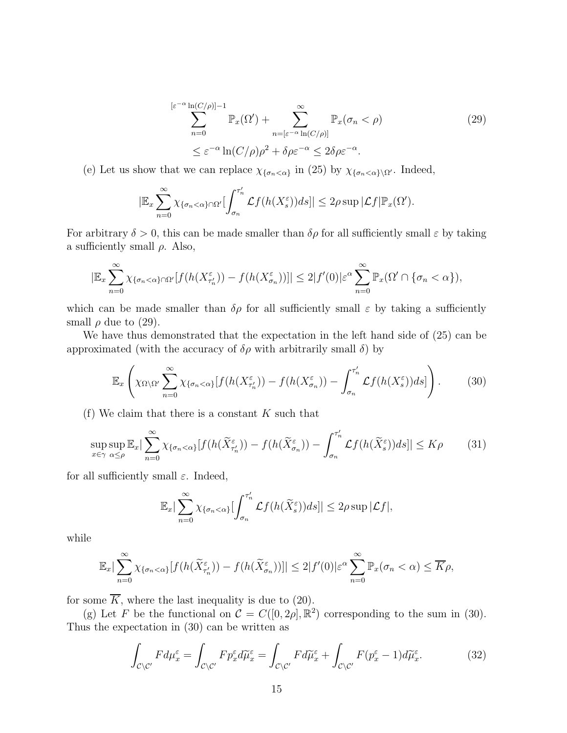$$
\sum_{n=0}^{\left[\varepsilon^{-\alpha}\ln(C/\rho)\right]-1} \mathbb{P}_x(\Omega') + \sum_{n=\left[\varepsilon^{-\alpha}\ln(C/\rho)\right]}^{\infty} \mathbb{P}_x(\sigma_n < \rho) \tag{29}
$$
  

$$
\leq \varepsilon^{-\alpha}\ln(C/\rho)\rho^2 + \delta\rho\varepsilon^{-\alpha} \leq 2\delta\rho\varepsilon^{-\alpha}.
$$

(e) Let us show that we can replace  $\chi_{\{\sigma_n<\alpha\}}$  in (25) by  $\chi_{\{\sigma_n<\alpha\}\setminus\Omega'}$ . Indeed,

$$
|\mathbb{E}_x \sum_{n=0}^{\infty} \chi_{\{\sigma_n < \alpha\} \cap \Omega'} \left[ \int_{\sigma_n}^{\tau'_n} \mathcal{L}f(h(X_s^{\varepsilon})) ds \right]| \leq 2\rho \sup |\mathcal{L}f| \mathbb{P}_x(\Omega').
$$

For arbitrary  $\delta > 0$ , this can be made smaller than  $\delta \rho$  for all sufficiently small  $\varepsilon$  by taking a sufficiently small  $\rho$ . Also,

$$
|\mathbb{E}_x \sum_{n=0}^{\infty} \chi_{\{\sigma_n < \alpha\} \cap \Omega'}[f(h(X_{\tau'_n}^{\varepsilon})) - f(h(X_{\sigma_n}^{\varepsilon}))]| \leq 2|f'(0)|\varepsilon^{\alpha} \sum_{n=0}^{\infty} \mathbb{P}_x(\Omega' \cap \{\sigma_n < \alpha\}),
$$

which can be made smaller than  $\delta \rho$  for all sufficiently small  $\varepsilon$  by taking a sufficiently small  $\rho$  due to (29).

We have thus demonstrated that the expectation in the left hand side of (25) can be approximated (with the accuracy of  $\delta \rho$  with arbitrarily small  $\delta$ ) by

$$
\mathbb{E}_x\left(\chi_{\Omega\setminus\Omega'}\sum_{n=0}^{\infty}\chi_{\{\sigma_n<\alpha\}}[f(h(X_{\tau'_n}^{\varepsilon})) - f(h(X_{\sigma_n}^{\varepsilon})) - \int_{\sigma_n}^{\tau'_n}\mathcal{L}f(h(X_s^{\varepsilon}))ds]\right).
$$
 (30)

(f) We claim that there is a constant  $K$  such that

$$
\sup_{x \in \gamma} \sup_{\alpha \le \rho} \mathbb{E}_x |\sum_{n=0}^{\infty} \chi_{\{\sigma_n < \alpha\}}[f(h(\widetilde{X}_{\tau'_n}^{\varepsilon})) - f(h(\widetilde{X}_{\sigma_n}^{\varepsilon})) - \int_{\sigma_n}^{\tau'_n} \mathcal{L}f(h(\widetilde{X}_{s}^{\varepsilon}))ds]| \le K\rho \tag{31}
$$

for all sufficiently small  $\varepsilon$ . Indeed,

$$
\mathbb{E}_x|\sum_{n=0}^{\infty}\chi_{\{\sigma_n<\alpha\}}[\int_{\sigma_n}^{\tau'_n}\mathcal{L}f(h(\widetilde{X}_s^{\varepsilon}))ds]|\leq 2\rho\sup|\mathcal{L}f|,
$$

while

$$
\mathbb{E}_x|\sum_{n=0}^{\infty}\chi_{\{\sigma_n<\alpha\}}[f(h(\widetilde{X}_{\tau'_n}^{\varepsilon}))-f(h(\widetilde{X}_{\sigma_n}^{\varepsilon}))]\leq 2|f'(0)|\varepsilon^{\alpha}\sum_{n=0}^{\infty}\mathbb{P}_x(\sigma_n<\alpha)\leq \overline{K}\rho,
$$

for some  $\overline{K}$ , where the last inequality is due to (20).

(g) Let F be the functional on  $\mathcal{C} = C([0, 2\rho], \mathbb{R}^2)$  corresponding to the sum in (30). Thus the expectation in (30) can be written as

$$
\int_{\mathcal{C}\backslash\mathcal{C}'} F d\mu_x^{\varepsilon} = \int_{\mathcal{C}\backslash\mathcal{C}'} F p_x^{\varepsilon} d\widetilde{\mu}_x^{\varepsilon} = \int_{\mathcal{C}\backslash\mathcal{C}'} F d\widetilde{\mu}_x^{\varepsilon} + \int_{\mathcal{C}\backslash\mathcal{C}'} F (p_x^{\varepsilon} - 1) d\widetilde{\mu}_x^{\varepsilon}.
$$
\n(32)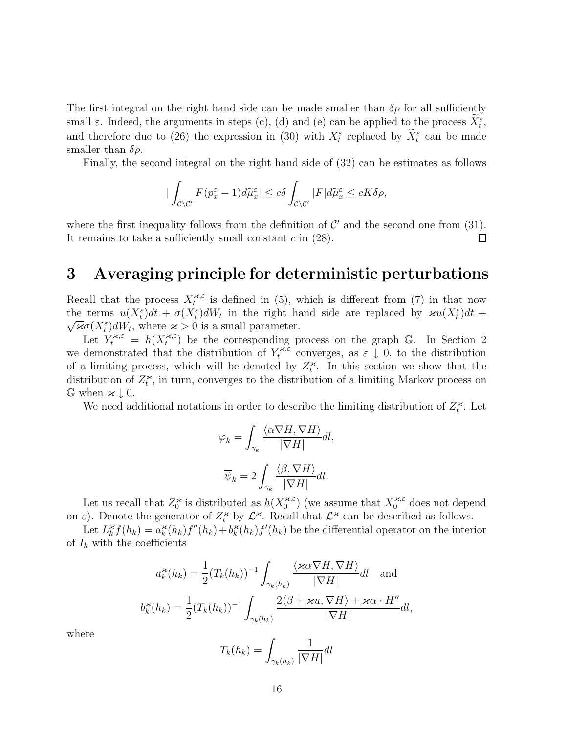The first integral on the right hand side can be made smaller than  $\delta \rho$  for all sufficiently small  $\varepsilon$ . Indeed, the arguments in steps (c), (d) and (e) can be applied to the process  $\bar{X}_{t}^{\varepsilon}$ , and therefore due to (26) the expression in (30) with  $X_t^{\varepsilon}$  replaced by  $X_t^{\varepsilon}$  can be made smaller than  $\delta \rho$ .

Finally, the second integral on the right hand side of (32) can be estimates as follows

$$
|\int_{\mathcal{C}\backslash\mathcal{C}'}F(p_x^\varepsilon-1)d\widetilde{\mu}_x^\varepsilon|\leq c\delta\int_{\mathcal{C}\backslash\mathcal{C}'}|F|d\widetilde{\mu}_x^\varepsilon\leq cK\delta\rho,
$$

where the first inequality follows from the definition of  $\mathcal{C}'$  and the second one from (31). It remains to take a sufficiently small constant  $c$  in  $(28)$ .  $\Box$ 

## **3 Averaging principle for deterministic perturbations**

Recall that the process  $X_t^{\varkappa,\varepsilon}$  is defined in (5), which is different from (7) in that now the terms  $u(X_t^{\varepsilon})dt + \sigma(X_t^{\varepsilon})dW_t$  in the right hand side are replaced by  $\kappa u(X_t^{\varepsilon})dt +$ the terms  $u(\lambda_t)dt + \partial(\lambda_t) dW_t$  in the right has  $\sqrt{\varkappa}\sigma(X_t^{\varepsilon})dW_t$ , where  $\varkappa > 0$  is a small parameter.

Let  $Y_t^{*,\varepsilon} = h(X_t^{*,\varepsilon})$  be the corresponding process on the graph G. In Section 2 we demonstrated that the distribution of  $Y_t^{*,\varepsilon}$  converges, as  $\varepsilon \downarrow 0$ , to the distribution of a limiting process, which will be denoted by  $Z_t^{\varkappa}$ . In this section we show that the distribution of  $Z_t^{\varkappa}$ , in turn, converges to the distribution of a limiting Markov process on  $\mathbb{G}$  when  $\varkappa \downarrow 0$ .

We need additional notations in order to describe the limiting distribution of  $Z_t^{\varkappa}$ . Let

$$
\overline{\varphi}_k = \int_{\gamma_k} \frac{\langle \alpha \nabla H, \nabla H \rangle}{|\nabla H|} dl,
$$

$$
\overline{\psi}_k = 2 \int_{\gamma_k} \frac{\langle \beta, \nabla H \rangle}{|\nabla H|} dl.
$$

Let us recall that  $Z_0^{\varkappa}$  is distributed as  $h(X_0^{\varkappa,\varepsilon})$  (we assume that  $X_0^{\varkappa,\varepsilon}$  does not depend on  $\varepsilon$ ). Denote the generator of  $Z_t^*$  by  $\mathcal{L}^*$ . Recall that  $\mathcal{L}^*$  can be described as follows.

Let  $L_k^{\varkappa} f(h_k) = a_k^{\varkappa}(h_k) f''(h_k) + b_k^{\varkappa}(h_k) f'(h_k)$  be the differential operator on the interior of  $I_k$  with the coefficients

$$
a_k^{\varkappa}(h_k) = \frac{1}{2} (T_k(h_k))^{-1} \int_{\gamma_k(h_k)} \frac{\langle \varkappa \alpha \nabla H, \nabla H \rangle}{|\nabla H|} dl \text{ and}
$$

$$
b_k^{\varkappa}(h_k) = \frac{1}{2} (T_k(h_k))^{-1} \int_{\gamma_k(h_k)} \frac{2\langle \beta + \varkappa u, \nabla H \rangle + \varkappa \alpha \cdot H''}{|\nabla H|} dl,
$$

where

$$
T_k(h_k) = \int_{\gamma_k(h_k)} \frac{1}{|\nabla H|} dl
$$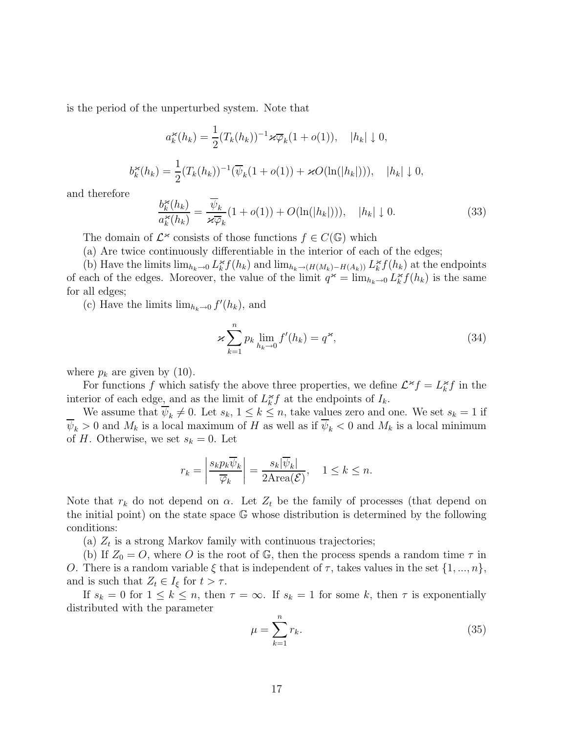is the period of the unperturbed system. Note that

$$
a_k^{\varkappa}(h_k) = \frac{1}{2} (T_k(h_k))^{-1} \varkappa \overline{\varphi}_k (1 + o(1)), \quad |h_k| \downarrow 0,
$$
  

$$
b_k^{\varkappa}(h_k) = \frac{1}{2} (T_k(h_k))^{-1} (\overline{\psi}_k (1 + o(1)) + \varkappa O(\ln(|h_k|))), \quad |h_k| \downarrow 0,
$$

and therefore

$$
\frac{b_k^{\varkappa}(h_k)}{a_k^{\varkappa}(h_k)} = \frac{\overline{\psi}_k}{\varkappa \overline{\varphi}_k} (1 + o(1)) + O(\ln(|h_k|))), \quad |h_k| \downarrow 0. \tag{33}
$$

The domain of  $\mathcal{L}^*$  consists of those functions  $f \in C(\mathbb{G})$  which

(a) Are twice continuously differentiable in the interior of each of the edges;

(b) Have the limits  $\lim_{h_k\to 0} L_k^{\varkappa} f(h_k)$  and  $\lim_{h_k\to (H(M_k)-H(A_k))} L_k^{\varkappa} f(h_k)$  at the endpoints of each of the edges. Moreover, the value of the limit  $q^* = \lim_{h_k \to 0} L_k^* f(h_k)$  is the same for all edges;

(c) Have the limits  $\lim_{h_k \to 0} f'(h_k)$ , and

$$
\varkappa \sum_{k=1}^{n} p_k \lim_{h_k \to 0} f'(h_k) = q^{\varkappa}, \tag{34}
$$

where  $p_k$  are given by (10).

For functions f which satisfy the above three properties, we define  $\mathcal{L}^* f = L_k^* f$  in the interior of each edge, and as the limit of  $L_k^{\star} f$  at the endpoints of  $I_k$ .

We assume that  $\overline{\psi}_k \neq 0$ . Let  $s_k$ ,  $1 \leq k \leq n$ , take values zero and one. We set  $s_k = 1$  if  $\overline{\psi}_k > 0$  and  $M_k$  is a local maximum of H as well as if  $\overline{\psi}_k < 0$  and  $M_k$  is a local minimum of H. Otherwise, we set  $s_k = 0$ . Let

$$
r_k = \left| \frac{s_k p_k \overline{\psi}_k}{\overline{\varphi}_k} \right| = \frac{s_k |\overline{\psi}_k|}{2 \text{Area}(\mathcal{E})}, \quad 1 \le k \le n.
$$

Note that  $r_k$  do not depend on  $\alpha$ . Let  $Z_t$  be the family of processes (that depend on the initial point) on the state space G whose distribution is determined by the following conditions:

(a)  $Z_t$  is a strong Markov family with continuous trajectories;

(b) If  $Z_0 = O$ , where O is the root of G, then the process spends a random time  $\tau$  in O. There is a random variable  $\xi$  that is independent of  $\tau$ , takes values in the set  $\{1, ..., n\}$ , and is such that  $Z_t \in I_{\xi}$  for  $t > \tau$ .

If  $s_k = 0$  for  $1 \leq k \leq n$ , then  $\tau = \infty$ . If  $s_k = 1$  for some k, then  $\tau$  is exponentially distributed with the parameter

$$
\mu = \sum_{k=1}^{n} r_k. \tag{35}
$$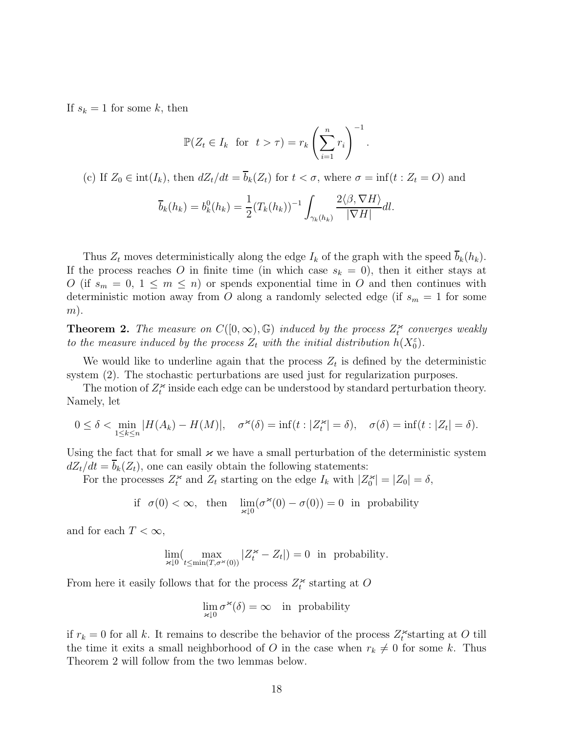If  $s_k = 1$  for some k, then

$$
\mathbb{P}(Z_t \in I_k \text{ for } t > \tau) = r_k \left(\sum_{i=1}^n r_i\right)^{-1}.
$$

(c) If  $Z_0 \in \text{int}(I_k)$ , then  $dZ_t/dt = \overline{b}_k(Z_t)$  for  $t < \sigma$ , where  $\sigma = \text{inf}(t : Z_t = O)$  and

$$
\overline{b}_k(h_k) = b_k^0(h_k) = \frac{1}{2}(T_k(h_k))^{-1} \int_{\gamma_k(h_k)} \frac{2\langle \beta, \nabla H \rangle}{|\nabla H|} dl.
$$

Thus  $Z_t$  moves deterministically along the edge  $I_k$  of the graph with the speed  $\overline{b}_k(h_k)$ . If the process reaches O in finite time (in which case  $s_k = 0$ ), then it either stays at O (if  $s_m = 0, 1 \leq m \leq n$ ) or spends exponential time in O and then continues with deterministic motion away from O along a randomly selected edge (if  $s_m = 1$  for some  $(m).$ 

**Theorem 2.** The measure on  $C([0,\infty),\mathbb{G})$  induced by the process  $Z_t^{\kappa}$  converges weakly to the measure induced by the process  $Z_t$  with the initial distribution  $h(X_0^{\varepsilon})$ .

We would like to underline again that the process  $Z_t$  is defined by the deterministic system (2). The stochastic perturbations are used just for regularization purposes.

The motion of  $Z_t^*$  inside each edge can be understood by standard perturbation theory. Namely, let

$$
0 \leq \delta < \min_{1 \leq k \leq n} |H(A_k) - H(M)|, \quad \sigma^{\varkappa}(\delta) = \inf(t : |Z_t^{\varkappa}| = \delta), \quad \sigma(\delta) = \inf(t : |Z_t| = \delta).
$$

Using the fact that for small  $\varkappa$  we have a small perturbation of the deterministic system  $dZ_t/dt = b_k(Z_t)$ , one can easily obtain the following statements:

For the processes  $Z_t^*$  and  $Z_t$  starting on the edge  $I_k$  with  $|Z_0^*| = |Z_0| = \delta$ ,

if 
$$
\sigma(0) < \infty
$$
, then  $\lim_{\varkappa \downarrow 0} (\sigma^{\varkappa}(0) - \sigma(0)) = 0$  in probability

and for each  $T < \infty$ ,

$$
\lim_{\varkappa \downarrow 0} (\max_{t \le \min(T, \sigma^{\varkappa}(0))} |Z_t^{\varkappa} - Z_t|) = 0 \text{ in probability.}
$$

From here it easily follows that for the process  $Z_t^{\varkappa}$  starting at O

$$
\lim_{\varkappa \downarrow 0} \sigma^{\varkappa}(\delta) = \infty \quad \text{in probability}
$$

if  $r_k = 0$  for all k. It remains to describe the behavior of the process  $Z_t^*$  starting at O till the time it exits a small neighborhood of O in the case when  $r_k \neq 0$  for some k. Thus Theorem 2 will follow from the two lemmas below.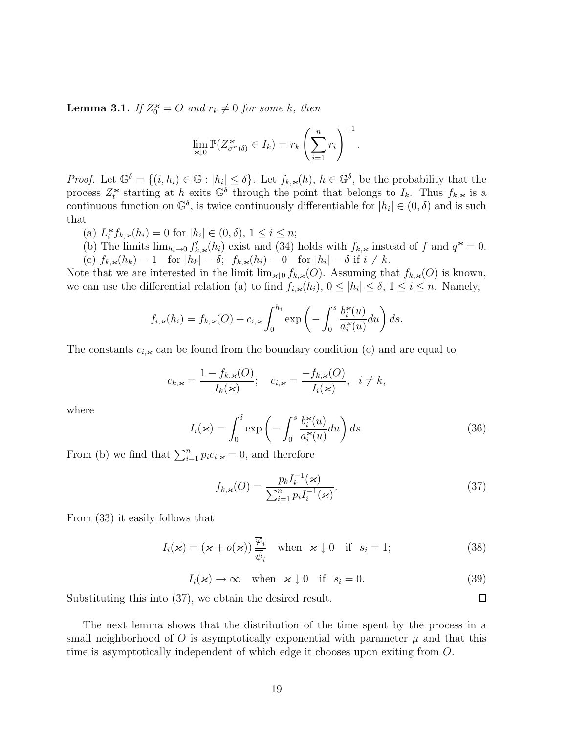**Lemma 3.1.** If  $Z_0^* = O$  and  $r_k \neq 0$  for some k, then

$$
\lim_{\varkappa \downarrow 0} \mathbb{P}(Z_{\sigma^{\varkappa}(\delta)}^{\varkappa} \in I_k) = r_k \left(\sum_{i=1}^n r_i\right)^{-1}.
$$

*Proof.* Let  $\mathbb{G}^{\delta} = \{(i, h_i) \in \mathbb{G} : |h_i| \leq \delta\}$ . Let  $f_{k, \varkappa}(h)$ ,  $h \in \mathbb{G}^{\delta}$ , be the probability that the process  $Z_t^*$  starting at h exits  $\mathbb{G}^{\delta}$  through the point that belongs to  $I_k$ . Thus  $f_{k,\varkappa}$  is a continuous function on  $\mathbb{G}^{\delta}$ , is twice continuously differentiable for  $|h_i| \in (0, \delta)$  and is such that

- (a)  $L_i^{\varkappa} f_{k,\varkappa}(h_i) = 0$  for  $|h_i| \in (0,\delta), 1 \le i \le n;$
- (b) The limits  $\lim_{h_i\to 0} f'_{k,\varkappa}(h_i)$  exist and (34) holds with  $f_{k,\varkappa}$  instead of f and  $q^{\varkappa} = 0$ . (c)  $f_{k,\varkappa}(h_k) = 1$  for  $|h_k| = \delta$ ;  $f_{k,\varkappa}(h_i) = 0$  for  $|h_i| = \delta$  if  $i \neq k$ .

Note that we are interested in the limit  $\lim_{\kappa \downarrow 0} f_{k,\kappa}(O)$ . Assuming that  $f_{k,\kappa}(O)$  is known, we can use the differential relation (a) to find  $f_{i,\varkappa}(h_i)$ ,  $0 \leq |h_i| \leq \delta$ ,  $1 \leq i \leq n$ . Namely,

$$
f_{i,\varkappa}(h_i) = f_{k,\varkappa}(O) + c_{i,\varkappa} \int_0^{h_i} \exp\left(-\int_0^s \frac{b_i^{\varkappa}(u)}{a_i^{\varkappa}(u)} du\right) ds.
$$

The constants  $c_{i,\varkappa}$  can be found from the boundary condition (c) and are equal to

$$
c_{k,\varkappa} = \frac{1 - f_{k,\varkappa}(O)}{I_k(\varkappa)}; \quad c_{i,\varkappa} = \frac{-f_{k,\varkappa}(O)}{I_i(\varkappa)}, \quad i \neq k,
$$

where

$$
I_i(\varkappa) = \int_0^\delta \exp\left(-\int_0^s \frac{b_i^{\varkappa}(u)}{a_i^{\varkappa}(u)} du\right) ds.
$$
 (36)

From (b) we find that  $\sum_{i=1}^{n} p_i c_{i,\varkappa} = 0$ , and therefore

$$
f_{k,\varkappa}(O) = \frac{p_k I_k^{-1}(\varkappa)}{\sum_{i=1}^n p_i I_i^{-1}(\varkappa)}.
$$
\n(37)

From (33) it easily follows that

$$
I_i(\varkappa) = (\varkappa + o(\varkappa)) \frac{\overline{\varphi}_i}{\overline{\psi}_i} \quad \text{when} \quad \varkappa \downarrow 0 \quad \text{if} \quad s_i = 1; \tag{38}
$$

 $I_i(\varkappa) \to \infty$  when  $\varkappa \downarrow 0$  if  $s_i = 0$ . (39)

 $\Box$ 

Substituting this into (37), we obtain the desired result.

The next lemma shows that the distribution of the time spent by the process in a small neighborhood of O is asymptotically exponential with parameter  $\mu$  and that this time is asymptotically independent of which edge it chooses upon exiting from O.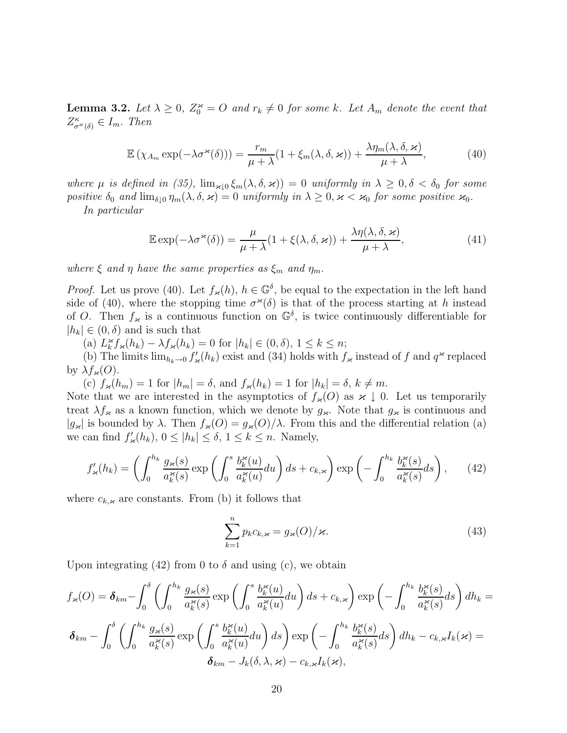**Lemma 3.2.** Let  $\lambda \geq 0$ ,  $Z_0^* = O$  and  $r_k \neq 0$  for some k. Let  $A_m$  denote the event that  $Z^{\kappa}_{\sigma^{\kappa}(\delta)} \in I_m$ . Then

$$
\mathbb{E}\left(\chi_{A_m}\exp(-\lambda\sigma^{\varkappa}(\delta))\right) = \frac{r_m}{\mu + \lambda}(1 + \xi_m(\lambda, \delta, \varkappa)) + \frac{\lambda\eta_m(\lambda, \delta, \varkappa)}{\mu + \lambda},\tag{40}
$$

where  $\mu$  is defined in (35),  $\lim_{\alpha \to 0} \xi_m(\lambda, \delta, \alpha) = 0$  uniformly in  $\lambda \geq 0, \delta < \delta_0$  for some positive  $\delta_0$  and  $\lim_{\delta\downarrow 0} \eta_m(\lambda, \delta, \varkappa)=0$  uniformly in  $\lambda\geq 0, \varkappa<\varkappa_0$  for some positive  $\varkappa_0$ .

In particular

$$
\mathbb{E}\exp(-\lambda \sigma^{\varkappa}(\delta)) = \frac{\mu}{\mu + \lambda} (1 + \xi(\lambda, \delta, \varkappa)) + \frac{\lambda \eta(\lambda, \delta, \varkappa)}{\mu + \lambda}, \tag{41}
$$

where  $\xi$  and  $\eta$  have the same properties as  $\xi_m$  and  $\eta_m$ .

*Proof.* Let us prove (40). Let  $f_{\varkappa}(h)$ ,  $h \in \mathbb{G}^{\delta}$ , be equal to the expectation in the left hand side of (40), where the stopping time  $\sigma^{\varkappa}(\delta)$  is that of the process starting at h instead of O. Then  $f_{\kappa}$  is a continuous function on  $\mathbb{G}^{\delta}$ , is twice continuously differentiable for  $|h_k| \in (0,\delta)$  and is such that

(a)  $L_k^{\varkappa} f_{\varkappa}(h_k) - \lambda f_{\varkappa}(h_k) = 0$  for  $|h_k| \in (0, \delta), 1 \leq k \leq n;$ 

(b) The limits  $\lim_{h_k\to 0} f'_\n\mathcal{F}(h_k)$  exist and (34) holds with  $f_\n\mathcal{F}$  instead of f and  $q^\infty$  replaced by  $\lambda f_{\varkappa}(O)$ .

(c)  $f_{\varkappa}(h_m) = 1$  for  $|h_m| = \delta$ , and  $f_{\varkappa}(h_k) = 1$  for  $|h_k| = \delta$ ,  $k \neq m$ .

Note that we are interested in the asymptotics of  $f_{\varkappa}(O)$  as  $\varkappa \downarrow 0$ . Let us temporarily treat  $\lambda f_{\kappa}$  as a known function, which we denote by  $g_{\kappa}$ . Note that  $g_{\kappa}$  is continuous and  $|g_{\varkappa}|$  is bounded by  $\lambda$ . Then  $f_{\varkappa}(O) = g_{\varkappa}(O)/\lambda$ . From this and the differential relation (a) we can find  $f'_{\varkappa}(h_k)$ ,  $0 \leq |h_k| \leq \delta$ ,  $1 \leq k \leq n$ . Namely,

$$
f'_{\varkappa}(h_k) = \left(\int_0^{h_k} \frac{g_{\varkappa}(s)}{a_k^{\varkappa}(s)} \exp\left(\int_0^s \frac{b_k^{\varkappa}(u)}{a_k^{\varkappa}(u)} du\right) ds + c_{k,\varkappa}\right) \exp\left(-\int_0^{h_k} \frac{b_k^{\varkappa}(s)}{a_k^{\varkappa}(s)} ds\right),\tag{42}
$$

where  $c_{k,\varkappa}$  are constants. From (b) it follows that

$$
\sum_{k=1}^{n} p_k c_{k,\varkappa} = g_{\varkappa}(O)/\varkappa.
$$
\n(43)

Upon integrating (42) from 0 to  $\delta$  and using (c), we obtain

$$
f_{\varkappa}(O) = \delta_{km} - \int_0^{\delta} \left( \int_0^{h_k} \frac{g_{\varkappa}(s)}{a_k^{\varkappa}(s)} \exp\left( \int_0^s \frac{b_k^{\varkappa}(u)}{a_k^{\varkappa}(u)} du \right) ds + c_{k,\varkappa} \right) \exp\left( - \int_0^{h_k} \frac{b_k^{\varkappa}(s)}{a_k^{\varkappa}(s)} ds \right) dh_k =
$$
  

$$
\delta_{km} - \int_0^{\delta} \left( \int_0^{h_k} \frac{g_{\varkappa}(s)}{a_k^{\varkappa}(s)} \exp\left( \int_0^s \frac{b_k^{\varkappa}(u)}{a_k^{\varkappa}(u)} du \right) ds \right) \exp\left( - \int_0^{h_k} \frac{b_k^{\varkappa}(s)}{a_k^{\varkappa}(s)} ds \right) dh_k - c_{k,\varkappa} I_k(\varkappa) =
$$
  

$$
\delta_{km} - J_k(\delta, \lambda, \varkappa) - c_{k,\varkappa} I_k(\varkappa),
$$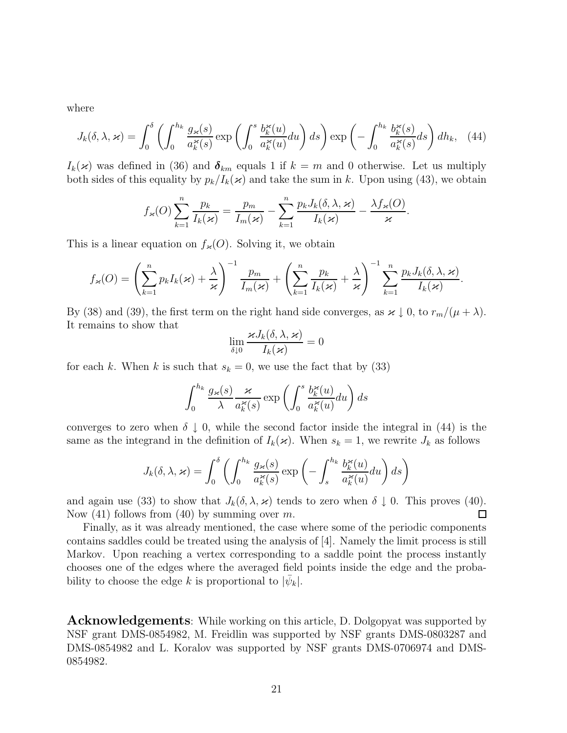where

$$
J_k(\delta,\lambda,\varkappa) = \int_0^\delta \left( \int_0^{h_k} \frac{g_\varkappa(s)}{a_k^\varkappa(s)} \exp\left( \int_0^s \frac{b_k^\varkappa(u)}{a_k^\varkappa(u)} du \right) ds \right) \exp\left( -\int_0^{h_k} \frac{b_k^\varkappa(s)}{a_k^\varkappa(s)} ds \right) dh_k, \quad (44)
$$

 $I_k(\varkappa)$  was defined in (36) and  $\delta_{km}$  equals 1 if  $k = m$  and 0 otherwise. Let us multiply both sides of this equality by  $p_k/I_k(\kappa)$  and take the sum in k. Upon using (43), we obtain

$$
f_{\varkappa}(O)\sum_{k=1}^n \frac{p_k}{I_k(\varkappa)} = \frac{p_m}{I_m(\varkappa)} - \sum_{k=1}^n \frac{p_k J_k(\delta, \lambda, \varkappa)}{I_k(\varkappa)} - \frac{\lambda f_{\varkappa}(O)}{\varkappa}.
$$

This is a linear equation on  $f_{\varkappa}(O)$ . Solving it, we obtain

$$
f_{\varkappa}(O) = \left(\sum_{k=1}^n p_k I_k(\varkappa) + \frac{\lambda}{\varkappa}\right)^{-1} \frac{p_m}{I_m(\varkappa)} + \left(\sum_{k=1}^n \frac{p_k}{I_k(\varkappa)} + \frac{\lambda}{\varkappa}\right)^{-1} \sum_{k=1}^n \frac{p_k J_k(\delta, \lambda, \varkappa)}{I_k(\varkappa)}.
$$

By (38) and (39), the first term on the right hand side converges, as  $\varkappa \downarrow 0$ , to  $r_m/(\mu + \lambda)$ . It remains to show that

$$
\lim_{\delta \downarrow 0} \frac{\varkappa J_k(\delta,\lambda,\varkappa)}{I_k(\varkappa)} = 0
$$

for each k. When k is such that  $s_k = 0$ , we use the fact that by (33)

$$
\int_0^{h_k} \frac{g_{\varkappa}(s)}{\lambda} \frac{\varkappa}{a_k^{\varkappa}(s)} \exp\left(\int_0^s \frac{b_k^{\varkappa}(u)}{a_k^{\varkappa}(u)} du\right) ds
$$

converges to zero when  $\delta \downarrow 0$ , while the second factor inside the integral in (44) is the same as the integrand in the definition of  $I_k(\varkappa)$ . When  $s_k = 1$ , we rewrite  $J_k$  as follows

$$
J_k(\delta, \lambda, \varkappa) = \int_0^\delta \left( \int_0^{h_k} \frac{g_\varkappa(s)}{a_k^\varkappa(s)} \exp\left(-\int_s^{h_k} \frac{b_k^\varkappa(u)}{a_k^\varkappa(u)} du\right) ds\right)
$$

and again use (33) to show that  $J_k(\delta, \lambda, \varkappa)$  tends to zero when  $\delta \downarrow 0$ . This proves (40). Now  $(41)$  follows from  $(40)$  by summing over m.  $\Box$ 

Finally, as it was already mentioned, the case where some of the periodic components contains saddles could be treated using the analysis of [4]. Namely the limit process is still Markov. Upon reaching a vertex corresponding to a saddle point the process instantly chooses one of the edges where the averaged field points inside the edge and the probability to choose the edge k is proportional to  $|\psi_k|$ .

**Acknowledgements**: While working on this article, D. Dolgopyat was supported by NSF grant DMS-0854982, M. Freidlin was supported by NSF grants DMS-0803287 and DMS-0854982 and L. Koralov was supported by NSF grants DMS-0706974 and DMS-0854982.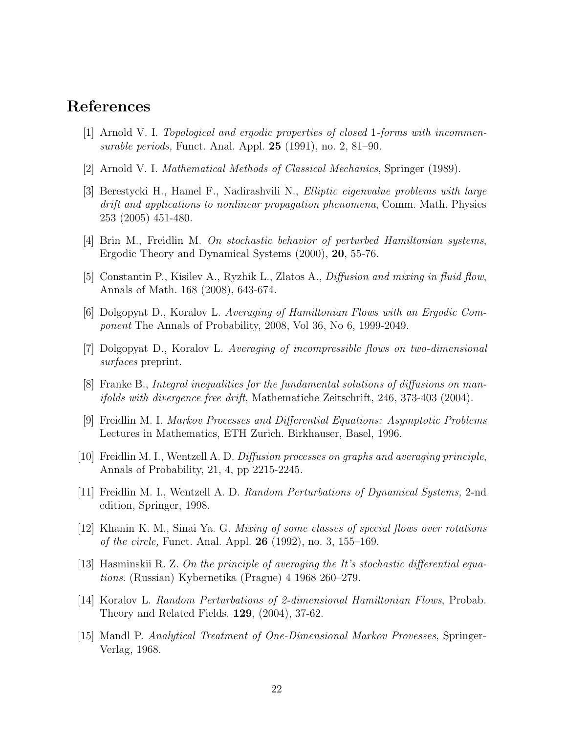## **References**

- [1] Arnold V. I. Topological and ergodic properties of closed 1-forms with incommensurable periods, Funct. Anal. Appl. **25** (1991), no. 2, 81–90.
- [2] Arnold V. I. Mathematical Methods of Classical Mechanics, Springer (1989).
- [3] Berestycki H., Hamel F., Nadirashvili N., Elliptic eigenvalue problems with large drift and applications to nonlinear propagation phenomena, Comm. Math. Physics 253 (2005) 451-480.
- [4] Brin M., Freidlin M. On stochastic behavior of perturbed Hamiltonian systems, Ergodic Theory and Dynamical Systems (2000), **20**, 55-76.
- [5] Constantin P., Kisilev A., Ryzhik L., Zlatos A., Diffusion and mixing in fluid flow, Annals of Math. 168 (2008), 643-674.
- [6] Dolgopyat D., Koralov L. Averaging of Hamiltonian Flows with an Ergodic Component The Annals of Probability, 2008, Vol 36, No 6, 1999-2049.
- [7] Dolgopyat D., Koralov L. Averaging of incompressible flows on two-dimensional surfaces preprint.
- [8] Franke B., Integral inequalities for the fundamental solutions of diffusions on manifolds with divergence free drift, Mathematiche Zeitschrift, 246, 373-403 (2004).
- [9] Freidlin M. I. Markov Processes and Differential Equations: Asymptotic Problems Lectures in Mathematics, ETH Zurich. Birkhauser, Basel, 1996.
- [10] Freidlin M. I., Wentzell A. D. Diffusion processes on graphs and averaging principle, Annals of Probability, 21, 4, pp 2215-2245.
- [11] Freidlin M. I., Wentzell A. D. Random Perturbations of Dynamical Systems, 2-nd edition, Springer, 1998.
- [12] Khanin K. M., Sinai Ya. G. Mixing of some classes of special flows over rotations of the circle, Funct. Anal. Appl. **26** (1992), no. 3, 155–169.
- [13] Hasminskii R. Z. On the principle of averaging the It's stochastic differential equations. (Russian) Kybernetika (Prague) 4 1968 260–279.
- [14] Koralov L. Random Perturbations of 2-dimensional Hamiltonian Flows, Probab. Theory and Related Fields. **129**, (2004), 37-62.
- [15] Mandl P. Analytical Treatment of One-Dimensional Markov Provesses, Springer-Verlag, 1968.